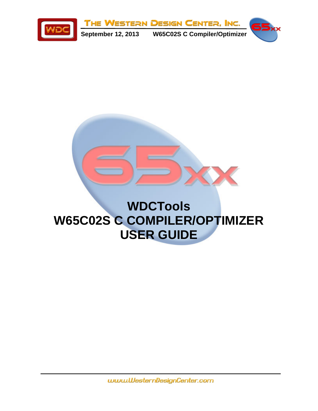

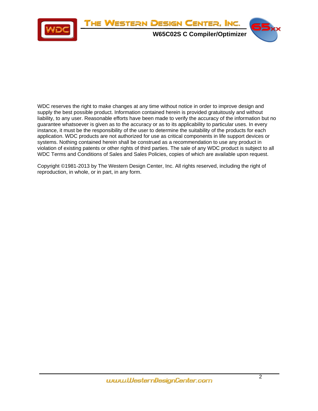

WDC reserves the right to make changes at any time without notice in order to improve design and supply the best possible product. Information contained herein is provided gratuitously and without liability, to any user. Reasonable efforts have been made to verify the accuracy of the information but no guarantee whatsoever is given as to the accuracy or as to its applicability to particular uses. In every instance, it must be the responsibility of the user to determine the suitability of the products for each application. WDC products are not authorized for use as critical components in life support devices or systems. Nothing contained herein shall be construed as a recommendation to use any product in violation of existing patents or other rights of third parties. The sale of any WDC product is subject to all WDC Terms and Conditions of Sales and Sales Policies, copies of which are available upon request.

Copyright ©1981-2013 by The Western Design Center, Inc. All rights reserved, including the right of reproduction, in whole, or in part, in any form.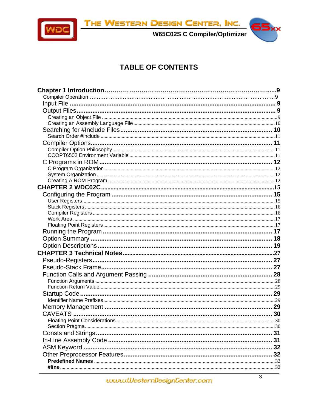



W65C02S C Compiler/Optimizer

# 55xx

### **TABLE OF CONTENTS**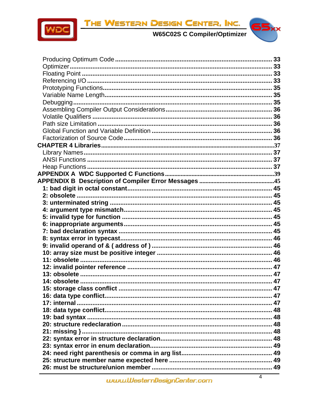

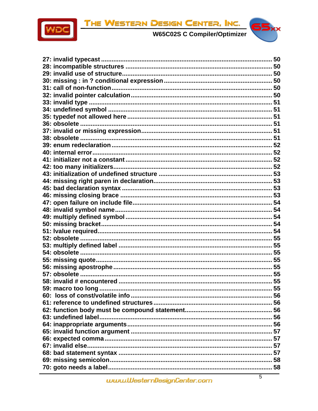

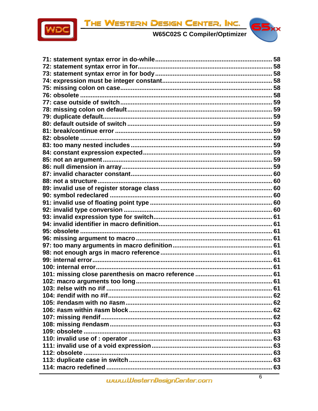

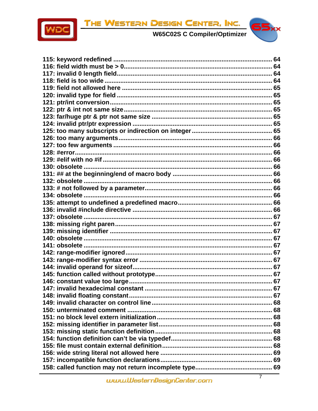



| 147: invalid hexadecimal constant |  |
|-----------------------------------|--|
|                                   |  |
|                                   |  |
|                                   |  |
|                                   |  |
|                                   |  |
|                                   |  |
|                                   |  |
|                                   |  |
|                                   |  |
|                                   |  |
|                                   |  |
|                                   |  |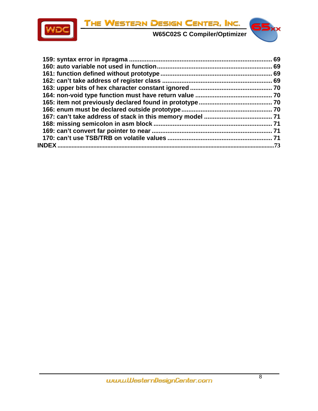



|              | 69  |
|--------------|-----|
|              | 69  |
|              |     |
|              |     |
|              |     |
|              |     |
|              |     |
|              |     |
|              |     |
|              |     |
|              |     |
|              |     |
| <b>INDEX</b> | .73 |
|              |     |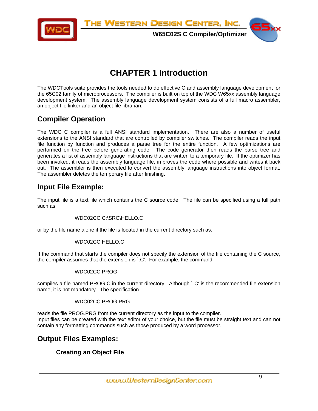<span id="page-8-0"></span>

**W65C02S C Compiler/Optimizer**



### **CHAPTER 1 Introduction**

The WDCTools suite provides the tools needed to do effective C and assembly language development for the 65C02 family of microprocessors. The compiler is built on top of the WDC W65xx assembly language development system. The assembly language development system consists of a full macro assembler, an object file linker and an object file librarian.

#### **Compiler Operation**

The WDC C compiler is a full ANSI standard implementation. There are also a number of useful extensions to the ANSI standard that are controlled by compiler switches. The compiler reads the input file function by function and produces a parse tree for the entire function. A few optimizations are performed on the tree before generating code. The code generator then reads the parse tree and generates a list of assembly language instructions that are written to a temporary file. If the optimizer has been invoked, it reads the assembly language file, improves the code where possible and writes it back out. The assembler is then executed to convert the assembly language instructions into object format. The assembler deletes the temporary file after finishing.

#### **Input File Example:**

The input file is a text file which contains the C source code. The file can be specified using a full path such as:

#### WDC02CC C:\SRC\HELLO.C

or by the file name alone if the file is located in the current directory such as:

#### WDC02CC HELLO.C

If the command that starts the compiler does not specify the extension of the file containing the C source, the compiler assumes that the extension is `.C'. For example, the command

#### WDC02CC PROG

compiles a file named PROG.C in the current directory. Although `.C' is the recommended file extension name, it is not mandatory. The specification

#### WDC02CC PROG.PRG

reads the file PROG.PRG from the current directory as the input to the compiler. Input files can be created with the text editor of your choice, but the file must be straight text and can not contain any formatting commands such as those produced by a word processor.

#### **Output Files Examples:**

#### **Creating an Object File**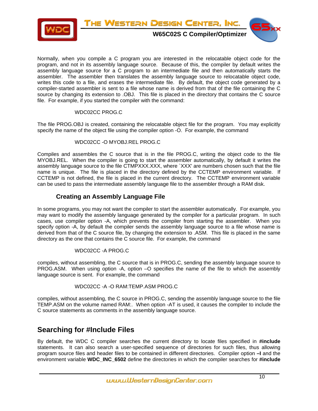<span id="page-9-0"></span>

Normally, when you compile a C program you are interested in the relocatable object code for the program, and not in its assembly language source. Because of this, the compiler by default writes the assembly language source for a C program to an intermediate file and then automatically starts the assembler. The assembler then translates the assembly language source to relocatable object code, writes this code to a file, and erases the intermediate file. By default, the object code generated by a compiler-started assembler is sent to a file whose name is derived from that of the file containing the C source by changing its extension to .OBJ. This file is placed in the directory that contains the C source file. For example, if you started the compiler with the command:

#### WDC02CC PROG.C

The file PROG.OBJ is created, containing the relocatable object file for the program. You may explicitly specify the name of the object file using the compiler option -O. For example, the command

#### WDC02CC -O MYOBJ.REL PROG.C

Compiles and assembles the C source that is in the file PROG.C, writing the object code to the file MYOBJ.REL. When the compiler is going to start the assembler automatically, by default it writes the assembly language source to the file CTMPXXX.XXX, where `XXX' are numbers chosen such that the file name is unique. The file is placed in the directory defined by the CCTEMP environment variable. If CCTEMP is not defined, the file is placed in the current directory. The CCTEMP environment variable can be used to pass the intermediate assembly language file to the assembler through a RAM disk.

#### **Creating an Assembly Language File**

In some programs, you may not want the compiler to start the assembler automatically. For example, you may want to modify the assembly language generated by the compiler for a particular program. In such cases, use compiler option -A, which prevents the compiler from starting the assembler. When you specify option -A, by default the compiler sends the assembly language source to a file whose name is derived from that of the C source file, by changing the extension to .ASM. This file is placed in the same directory as the one that contains the C source file. For example, the command

#### WDC02CC -A PROG.C

compiles, without assembling, the C source that is in PROG.C, sending the assembly language source to PROG.ASM. When using option -A, option –O specifies the name of the file to which the assembly language source is sent. For example, the command

#### WDC02CC -A -O RAM:TEMP.ASM PROG.C

compiles, without assembling, the C source in PROG.C, sending the assembly language source to the file TEMP.ASM on the volume named RAM:. When option -AT is used, it causes the compiler to include the C source statements as comments in the assembly language source.

#### **Searching for #Include Files**

By default, the WDC C compiler searches the current directory to locate files specified in **#include** statements. It can also search a user-specified sequence of directories for such files, thus allowing program source files and header files to be contained in different directories. Compiler option **–I** and the environment variable **WDC\_INC\_6502** define the directories in which the compiler searches for **#include**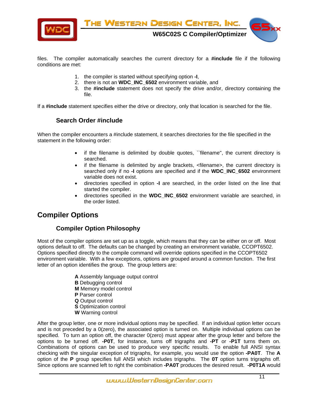<span id="page-10-0"></span>

files. The compiler automatically searches the current directory for a **#include** file if the following conditions are met:

- 1. the compiler is started without specifying option **-I**,
- 2. there is not an **WDC\_INC\_6502** environment variable, and
- 3. the **#include** statement does not specify the drive and/or, directory containing the file.

If a **#include** statement specifies either the drive or directory, only that location is searched for the file.

#### **Search Order #include**

When the compiler encounters a #include statement, it searches directories for the file specified in the statement in the following order:

- if the filename is delimited by double quotes, ``filename'', the current directory is searched.
- if the filename is delimited by angle brackets, <filename>, the current directory is searched only if no **-I** options are specified and if the **WDC\_INC\_6502** environment variable does not exist.
- directories specified in option **-I** are searched, in the order listed on the line that started the compiler.
- directories specified in the **WDC\_INC\_6502** environment variable are searched, in the order listed.

#### **Compiler Options**

#### **Compiler Option Philosophy**

Most of the compiler options are set up as a toggle, which means that they can be either on or off. Most options default to off. The defaults can be changed by creating an environment variable, CCOPT6502. Options specified directly to the compile command will override options specified in the CCOPT6502 environment variable. With a few exceptions, options are grouped around a common function. The first letter of an option identifies the group. The group letters are:

> **A** Assembly language output control **B** Debugging control **M** Memory model control **P** Parser control **Q** Output control **S** Optimization control **W** Warning control

After the group letter, one or more individual options may be specified. If an individual option letter occurs and is not preceded by a 0(zero), the associated option is turned on. Multiple individual options can be specified. To turn an option off, the character 0(zero) must appear after the group letter and before the options to be turned off. **-P0T**, for instance, turns off trigraphs and **-PT** or **-P1T** turns them on. Combinations of options can be used to produce very specific results. To enable full ANSI syntax checking with the singular exception of trigraphs, for example, you would use the option **-PA0T**. The **A** option of the **P** group specifies full ANSI which includes trigraphs. The **0T** option turns trigraphs off. Since options are scanned left to right the combination **-PA0T** produces the desired result. **-P0T1A** would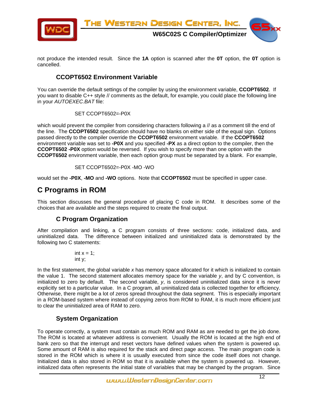<span id="page-11-0"></span>

not produce the intended result. Since the **1A** option is scanned after the **0T** option, the **0T** option is cancelled.

#### **CCOPT6502 Environment Variable**

You can override the default settings of the compiler by using the environment variable, **CCOPT6502**. If you want to disable C++ style // comments as the default, for example, you could place the following line in your *AUTOEXEC.BAT* file:

SET CCOPT6502=-P0X

which would prevent the compiler from considering characters following a // as a comment till the end of the line. The **CCOPT6502** specification should have no blanks on either side of the equal sign. Options passed directly to the compiler override the **CCOPT6502** environment variable. If the **CCOPT6502** environment variable was set to **-P0X** and you specified **-PX** as a direct option to the compiler, then the **CCOPT6502 -P0X** option would be reversed. If you wish to specify more than one option with the **CCOPT6502** environment variable, then each option group must be separated by a blank. For example,

SET CCOPT6502=-P0X -MO -WO

would set the **-P0X**, **-MO** and **-WO** options. Note that **CCOPT6502** must be specified in upper case.

#### **C Programs in ROM**

This section discusses the general procedure of placing C code in ROM. It describes some of the choices that are available and the steps required to create the final output.

#### **C Program Organization**

After compilation and linking, a C program consists of three sections: code, initialized data, and uninitialized data. The difference between initialized and uninitialized data is demonstrated by the following two C statements:

$$
int x = 1;
$$
  
int y;

In the first statement, the global variable *x* has memory space allocated for it which is initialized to contain the value 1. The second statement allocates memory space for the variable *y*, and by C convention, is initialized to zero by default. The second variable, *y*, is considered uninitialized data since it is never explicitly set to a particular value. In a C program, all uninitialized data is collected together for efficiency. Otherwise, there might be a lot of zeros spread throughout the data segment. This is especially important in a ROM-based system where instead of copying zeros from ROM to RAM, it is much more efficient just to clear the uninitialized area of RAM to zero.

#### **System Organization**

To operate correctly, a system must contain as much ROM and RAM as are needed to get the job done. The ROM is located at whatever address is convenient. Usually the ROM is located at the high end of bank zero so that the interrupt and reset vectors have defined values when the system is powered up. Some amount of RAM is also required for the stack and direct page access. The main program code is stored in the ROM which is where it is usually executed from since the code itself does not change. Initialized data is also stored in ROM so that it is available when the system is powered up. However, initialized data often represents the initial state of variables that may be changed by the program. Since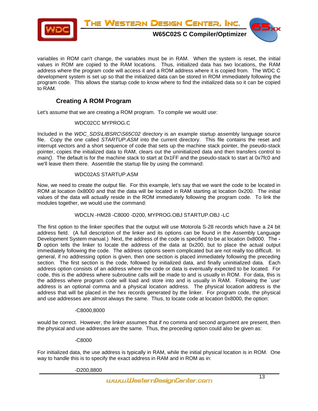<span id="page-12-0"></span>

variables in ROM can't change, the variables must be in RAM. When the system is reset, the initial values in ROM are copied to the RAM locations. Thus, initialized data has two locations, the RAM address where the program code will access it and a ROM address where it is copied from. The WDC C development system is set up so that the initialized data can be stored in ROM immediately following the program code. This allows the startup code to know where to find the initialized data so it can be copied to RAM.

#### **Creating A ROM Program**

Let's assume that we are creating a ROM program. To compile we would use:

#### WDC02CC MYPROG.C

Included in the *WDC\_SDS\LIBSRC\S65C02* directory is an example startup assembly language source file. Copy the one called *STARTUP.ASM* into the current directory. This file contains the reset and interrupt vectors and a short sequence of code that sets up the machine stack pointer, the pseudo-stack pointer, copies the initialized data to RAM, clears out the uninitialized data and then transfers control to *main()*. The default is for the machine stack to start at 0x1FF and the pseudo-stack to start at 0x7fc0 and we'll leave them there. Assemble the startup file by using the command:

#### WDC02AS STARTUP.ASM

Now, we need to create the output file. For this example, let's say that we want the code to be located in ROM at location 0x8000 and that the data will be located in RAM starting at location 0x200. The initial values of the data will actually reside in the ROM immediately following the program code. To link the modules together, we would use the command:

#### WDCLN -HM28 -C8000 -D200, MYPROG.OBJ STARTUP.OBJ -LC

The first option to the linker specifies that the output will use Motorola S-28 records which have a 24 bit address field. (A full description of the linker and its options can be found in the Assembly Language Development System manual.) Next, the address of the code is specified to be at location 0x8000. The **- D** option tells the linker to locate the address of the data at 0x200, but to place the actual output immediately following the code. The address options seem complicated but are not really too difficult. In general, if no addressing option is given, then one section is placed immediately following the preceding section. The first section is the code, followed by initialized data, and finally uninitialized data. Each address option consists of an address where the code or data is eventually expected to be located. For code, this is the address where subroutine calls will be made to and is usually in ROM. For data, this is the address where program code will load and store into and is usually in RAM. Following the `use' address is an optional comma and a physical location address. The physical location address is the address that will be placed in the hex records generated by the linker. For program code, the physical and use addresses are almost always the same. Thus, to locate code at location 0x8000, the option:

#### -C8000,8000

would be correct. However, the linker assumes that if no comma and second argument are present, then the physical and use addresses are the same. Thus, the preceding option could also be given as:

#### -C8000

For initialized data, the use address is typically in RAM, while the initial physical location is in ROM. One way to handle this is to specify the exact address in RAM and in ROM as in:

-D200,8800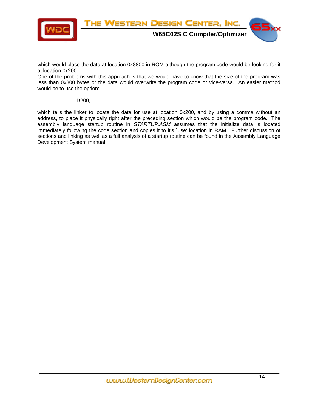

which would place the data at location 0x8800 in ROM although the program code would be looking for it at location 0x200.

One of the problems with this approach is that we would have to know that the size of the program was less than 0x800 bytes or the data would overwrite the program code or vice-versa. An easier method would be to use the option:

#### -D200,

which tells the linker to locate the data for use at location 0x200, and by using a comma without an address, to place it physically right after the preceding section which would be the program code. The assembly language startup routine in *STARTUP.ASM* assumes that the initialize data is located immediately following the code section and copies it to it's `use' location in RAM. Further discussion of sections and linking as well as a full analysis of a startup routine can be found in the Assembly Language Development System manual.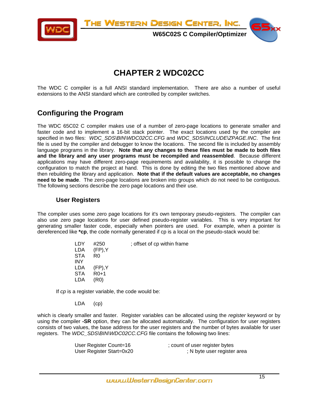<span id="page-14-0"></span>

**W65C02S C Compiler/Optimizer**



### **CHAPTER 2 WDC02CC**

The WDC C compiler is a full ANSI standard implementation. There are also a number of useful extensions to the ANSI standard which are controlled by compiler switches.

#### **Configuring the Program**

The WDC 65C02 C compiler makes use of a number of zero-page locations to generate smaller and faster code and to implement a 16-bit stack pointer. The exact locations used by the compiler are specified in two files: *WDC\_SDS\BIN\WDC02CC.CFG* and *WDC\_SDS\INCLUDE\ZPAGE.INC*. The first file is used by the compiler and debugger to know the locations. The second file is included by assembly language programs in the library. **Note that any changes to these files must be made to both files and the library and any user programs must be recompiled and reassembled**. Because different applications may have different zero-page requirements and availability, it is possible to change the configuration to match the project at hand. This is done by editing the two files mentioned above and then rebuilding the library and application. **Note that if the default values are acceptable, no changes need to be made**. The zero-page locations are broken into groups which do not need to be contiguous. The following sections describe the zero page locations and their use.

#### **User Registers**

The compiler uses some zero page locations for it's own temporary pseudo-registers. The compiler can also use zero page locations for user defined pseudo-register variables. This is very important for generating smaller faster code, especially when pointers are used. For example, when a pointer is dereferenced like **\*cp**, the code normally generated if cp is a local on the pseudo-stack would be:

| LDY        | #250            | ; offset of cp within frame |
|------------|-----------------|-----------------------------|
|            | $LDA$ (FP), Y   |                             |
| STA.       | R <sub>0</sub>  |                             |
| <b>INY</b> |                 |                             |
|            | $LDA$ $(FP), Y$ |                             |
| STA        | $R0+1$          |                             |
| LDA        | (R0)            |                             |
|            |                 |                             |

If *cp* is a register variable, the code would be:

LDA (cp)

which is clearly smaller and faster. Register variables can be allocated using the *register* keyword or by using the compiler **-SR** option, they can be allocated automatically. The configuration for user registers consists of two values, the base address for the user registers and the number of bytes available for user registers. The *WDC\_SDS\BIN\WDC02CC.CFG* file contains the following two lines:

| User Register Count=16   | ; count of user register bytes |
|--------------------------|--------------------------------|
| User Register Start=0x20 | ; N byte user register area    |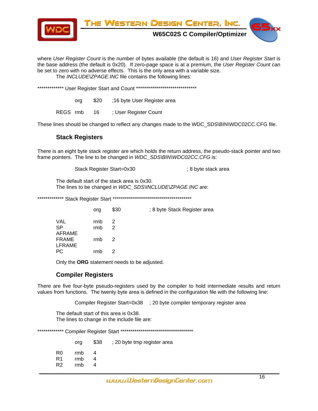<span id="page-15-0"></span>

where *User Register Count* is the number of bytes available (the default is 16) and *User Register Start* is the base address (the default is 0x20). If zero-page space is at a premium, the *User Register Count* can be set to zero with no adverse effects. This is the only area with a variable size. The *INCLUDE\ZPAGE.INC* file contains the following lines:

\*\*\*\*\*\*\*\*\*\*\*\*\*\* User Register Start and Count \*\*\*\*\*\*\*\*\*\*\*\*\*\*\*\*\*\*\*\*\*\*\*\*\*\*\*\*\*\*\*\*

org \$20 ;16 byte User Register area

REGS rmb 16 ; User Register Count

These lines should be changed to reflect any changes made to the WDC\_SDS\BIN\WDC02CC.CFG file.

#### **Stack Registers**

There is an eight byte stack register are which holds the return address, the pseudo-stack pointer and two frame pointers. The line to be changed in *WDC\_SDS\BIN\WDC02CC.CFG* is:

Stack Register Start=0x30 ; 8 byte stack area

The default start of the stack area is 0x30. The lines to be changed in *WDC\_SDS\INCLUDE\ZPAGE.INC* are:

\*\*\*\*\*\*\*\*\*\*\*\*\* Stack Register Start \*\*\*\*\*\*\*\*\*\*\*\*\*\*\*\*\*\*\*\*\*\*\*\*\*\*\*\*\*\*\*\*\*\*\*\*\*\*\*

|                                   | org        | \$30          | ; 8 byte Stack Register area |
|-----------------------------------|------------|---------------|------------------------------|
| <b>VAL</b><br><b>SP</b><br>AFRAME | rmb<br>rmb | 2<br>2        |                              |
| <b>FRAME</b><br><b>LFRAME</b>     | rmb        | $\mathcal{P}$ |                              |
| PC.                               | rmb        | 2             |                              |

Only the **ORG** statement needs to be adjusted.

#### **Compiler Registers**

There are five four-byte pseudo-registers used by the compiler to hold intermediate results and return values from functions. The twenty byte area is defined in the configuration file with the following line:

Compiler Register Start=0x38 ; 20 byte compiler temporary register area

The default start of this area is 0x38. The lines to change in the include file are:

\*\*\*\*\*\*\*\*\*\*\*\*\* Compiler Register Start \*\*\*\*\*\*\*\*\*\*\*\*\*\*\*\*\*\*\*\*\*\*\*\*\*\*\*\*\*\*\*\*\*\*\*\*

|                 | ora               | \$38 | ; 20 byte tmp register area |
|-----------------|-------------------|------|-----------------------------|
| R0.<br>R1<br>R2 | rmb<br>rmb<br>rmb |      |                             |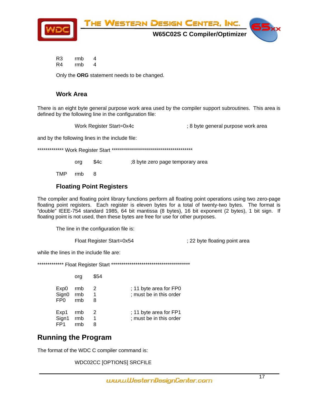<span id="page-16-0"></span>

R<sub>3</sub>  $\overline{4}$ rmb R4 rmb  $\overline{4}$ 

Only the ORG statement needs to be changed.

#### **Work Area**

There is an eight byte general purpose work area used by the compiler support subroutines. This area is defined by the following line in the configuration file:

Work Register Start=0x4c

; 8 byte general purpose work area

and by the following lines in the include file:

 $$4c$ ;8 byte zero page temporary area org

**TMP** 8 rmb

#### **Floating Point Registers**

The compiler and floating point library functions perform all floating point operations using two zero-page floating point registers. Each register is eleven bytes for a total of twenty-two bytes. The format is "double" IEEE-754 standard 1985, 64 bit mantissa (8 bytes), 16 bit exponent (2 bytes), 1 bit sign. If floating point is not used, then these bytes are free for use for other purposes.

The line in the configuration file is:

Float Register Start=0x54

: 22 byte floating point area

while the lines in the include file are:

|                                      | ora               | \$54        |                                                   |
|--------------------------------------|-------------------|-------------|---------------------------------------------------|
| Exp0<br>Sign0<br>FP <sub>0</sub>     | rmb<br>rmb<br>rmb | 2<br>1<br>8 | ; 11 byte area for FP0<br>; must be in this order |
| Exp1<br>Sign1 rmb<br>FP <sub>1</sub> | rmb               | 2<br>1<br>8 | ; 11 byte area for FP1<br>; must be in this order |

#### **Running the Program**

The format of the WDC C compiler command is:

WDC02CC [OPTIONS] SRCFILE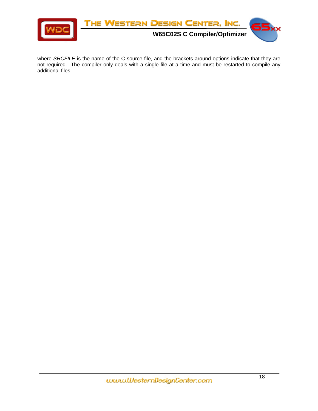

where *SRCFILE* is the name of the C source file, and the brackets around options indicate that they are not required. The compiler only deals with a single file at a time and must be restarted to compile any additional files.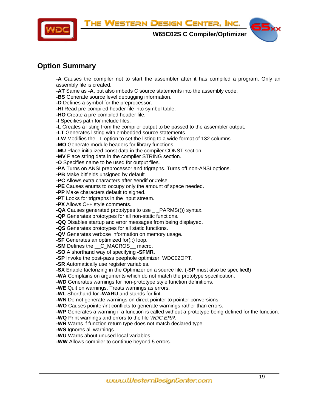<span id="page-18-0"></span>

**W65C02S C Compiler/Optimizer**



#### **Option Summary**

**-A** Causes the compiler not to start the assembler after it has compiled a program. Only an assembly file is created.

**-AT** Same as **-A**, but also imbeds C source statements into the assembly code.

**-BS** Generate source level debugging information.

**-D** Defines a symbol for the preprocessor.

**-HI** Read pre-compiled header file into symbol table.

**-HO** Create a pre-compiled header file.

**-I** Specifies path for include files.

**-L** Creates a listing from the compiler output to be passed to the assembler output.

**-LT** Generates listing with embedded source statements

**-LW** Modifies the –L option to set the listing to a wide format of 132 columns

**-MO** Generate module headers for library functions.

**-MU** Place initialized const data in the compiler CONST section.

**-MV** Place string data in the compiler STRING section.

**-O** Specifies name to be used for output files.

**-PA** Turns on ANSI preprocessor and trigraphs. Turns off non-ANSI options.

**-PB** Make bitfields unsigned by default.

**-PC** Allows extra characters after #endif or #else.

**-PE** Causes enums to occupy only the amount of space needed.

**-PP** Make characters default to signed.

**-PT** Looks for trigraphs in the input stream.

**-PX** Allows C++ style comments.

**-QA** Causes generated prototypes to use \_ \_PARMS(()) syntax.

**-QP** Generates prototypes for all non-static functions.

**-QQ** Disables startup and error messages from being displayed.

**-QS** Generates prototypes for all static functions.

**-QV** Generates verbose information on memory usage.

**-SF** Generates an optimized for(;;) loop.

**-SM** Defines the C\_MACROS \_ macro.

**-SO** A shorthand way of specifying **-SFMR**.

**-SP** Invoke the post-pass peephole optimizer, WDC02OPT.

**-SR** Automatically use register variables.

**-SX** Enable factorizing in the Optimizer on a source file. (**-SP** must also be specified!)

**-WA** Complains on arguments which do not match the prototype specification.

**-WD** Generates warnings for non-prototype style function definitions.

**-WE** Quit on warnings. Treats warnings as errors.

**-WL** Shorthand for **-WARU** and stands for lint.

**-WN** Do not generate warnings on direct pointer to pointer conversions.

**-WO** Causes pointer/int conflicts to generate warnings rather than errors.

**-WP** Generates a warning if a function is called without a prototype being defined for the function.

**-WQ** Print warnings and errors to the file *WDC.ERR*.

**-WR** Warns if function return type does not match declared type.

**-WS** Ignores all warnings.

**-WU** Warns about unused local variables.

**-WW** Allows compiler to continue beyond 5 errors.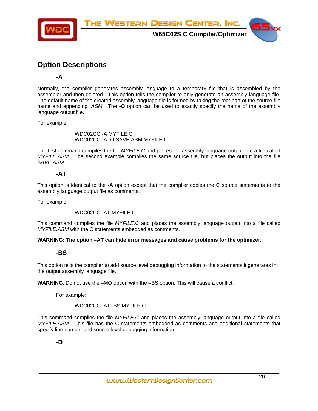<span id="page-19-0"></span>

#### **Option Descriptions**

**-A** 

Normally, the compiler generates assembly language to a temporary file that is assembled by the assembler and then deleted. This option tells the compiler to only generate an assembly language file. The default name of the created assembly language file is formed by taking the root part of the source file name and appending *.ASM*. The **-O** option can be used to exactly specify the name of the assembly language output file.

For example:

WDC02CC -A MYFILE.C WDC02CC -A -O SAVE.ASM MYFILE.C

The first command compiles the file *MYFILE.C* and places the assembly language output into a file called *MYFILE.ASM*. The second example compiles the same source file, but places the output into the file *SAVE.ASM*.

#### **-AT**

This option is identical to the **-A** option except that the compiler copies the C source statements to the assembly language output file as comments.

For example:

WDC02CC -AT MYFILE.C

This command compiles the file *MYFILE.C* and places the assembly language output into a file called *MYFILE.ASM* with the C statements embedded as comments.

**WARNING: The option –AT can hide error messages and cause problems for the optimizer.** 

#### **-BS**

This option tells the compiler to add source level debugging information to the statements it generates in the output assembly language file.

**WARNING**: Do not use the –MO option with the –BS option. This will cause a conflict.

For example:

WDC02CC -AT -BS MYFILE.C

This command compiles the file *MYFILE.C* and places the assembly language output into a file called *MYFILE.ASM*. This file has the C statements embedded as comments and additional statements that specify line number and source level debugging information.

**-D**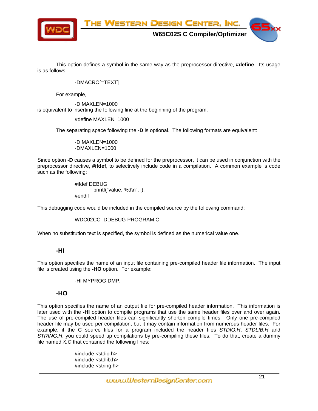

This option defines a symbol in the same way as the preprocessor directive, **#define**. Its usage is as follows:

#### -DMACRO[=TEXT]

For example,

-D MAXLEN=1000 is equivalent to inserting the following line at the beginning of the program:

#define MAXLEN 1000

The separating space following the **-D** is optional. The following formats are equivalent:

-D MAXLEN=1000 -DMAXLEN=1000

Since option **-D** causes a symbol to be defined for the preprocessor, it can be used in conjunction with the preprocessor directive, **#ifdef**, to selectively include code in a compilation. A common example is code such as the following:

> #ifdef DEBUG printf("value: %d\n", i); #endif

This debugging code would be included in the compiled source by the following command:

```
WDC02CC -DDEBUG PROGRAM.C
```
When no substitution text is specified, the symbol is defined as the numerical value one.

#### **-HI**

This option specifies the name of an input file containing pre-compiled header file information. The input file is created using the **-HO** option. For example:

-HI MYPROG.DMP.

#### **-HO**

This option specifies the name of an output file for pre-compiled header information. This information is later used with the **-HI** option to compile programs that use the same header files over and over again. The use of pre-compiled header files can significantly shorten compile times. Only one pre-compiled header file may be used per compilation, but it may contain information from numerous header files. For example, if the C source files for a program included the header files *STDIO.H*, *STDLIB.H* and *STRING.H*, you could speed up compilations by pre-compiling these files. To do that, create a dummy file named *X.C* that contained the following lines:

> #include <stdio.h> #include <stdlib.h> #include <string.h>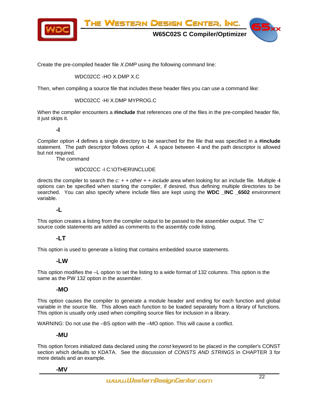

Create the pre-compiled header file *X.DMP* using the following command line:

#### WDC02CC -HO X.DMP X.C

Then, when compiling a source file that includes these header files you can use a command like:

#### WDC02CC -HI X.DMP MYPROG.C

When the compiler encounters a **#include** that references one of the files in the pre-compiled header file, it just skips it.

#### **-I**

Compiler option **-I** defines a single directory to be searched for the file that was specified in a **#include** statement. The path descriptor follows option **-I**. A space between **-I** and the path descriptor is allowed but not required.

The command

#### WDC02CC -I C:\OTHER\INCLUDE

directs the compiler to search the *c: + + other + + include* area when looking for an include file. Multiple **-I** options can be specified when starting the compiler, if desired, thus defining multiple directories to be searched. You can also specify where include files are kept using the **WDC INC 6502** environment variable.

#### **-L**

This option creates a listing from the compiler output to be passed to the assembler output. The 'C' source code statements are added as comments to the assembly code listing.

#### **-LT**

This option is used to generate a listing that contains embedded source statements.

#### **-LW**

This option modifies the –L option to set the listing to a wide format of 132 columns. This option is the same as the PW 132 option in the assembler.

#### **-MO**

This option causes the compiler to generate a module header and ending for each function and global variable in the source file. This allows each function to be loaded separately from a library of functions. This option is usually only used when compiling source files for inclusion in a library.

WARNING: Do not use the –BS option with the –MO option. This will cause a conflict.

#### **-MU**

This option forces initialized data declared using the *const* keyword to be placed in the compiler's CONST section which defaults to KDATA. See the discussion of *CONSTS AND STRINGS* in CHAPTER 3 for more details and an example.

#### **-MV**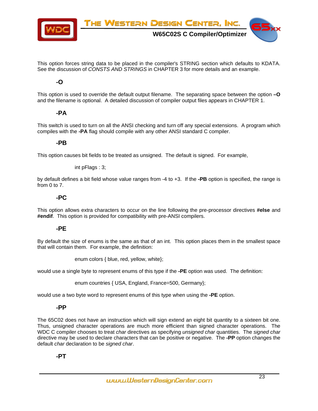

This option forces string data to be placed in the compiler's STRING section which defaults to KDATA. See the discussion of *CONSTS AND STRINGS* in CHAPTER 3 for more details and an example.

#### **-O**

This option is used to override the default output filename. The separating space between the option **–O**  and the filename is optional. A detailed discussion of compiler output files appears in CHAPTER 1.

#### **-PA**

This switch is used to turn on all the ANSI checking and turn off any special extensions. A program which compiles with the **-PA** flag should compile with any other ANSI standard C compiler.

#### **-PB**

This option causes bit fields to be treated as unsigned. The default is signed. For example,

int pFlags : 3;

by default defines a bit field whose value ranges from -4 to +3. If the **-PB** option is specified, the range is from 0 to 7.

#### **-PC**

This option allows extra characters to occur on the line following the pre-processor directives **#else** and **#endif**. This option is provided for compatibility with pre-ANSI compilers.

#### **-PE**

By default the size of enums is the same as that of an int. This option places them in the smallest space that will contain them. For example, the definition:

enum colors { blue, red, yellow, white};

would use a single byte to represent enums of this type if the **-PE** option was used. The definition:

enum countries { USA, England, France=500, Germany};

would use a two byte word to represent enums of this type when using the **-PE** option.

#### **-PP**

The 65C02 does not have an instruction which will sign extend an eight bit quantity to a sixteen bit one. Thus, unsigned character operations are much more efficient than signed character operations. The WDC C compiler chooses to treat *char* directives as specifying *unsigned char* quantities. The *signed char* directive may be used to declare characters that can be positive or negative. The **-PP** option changes the default *char* declaration to be *signed char*.

#### **-PT**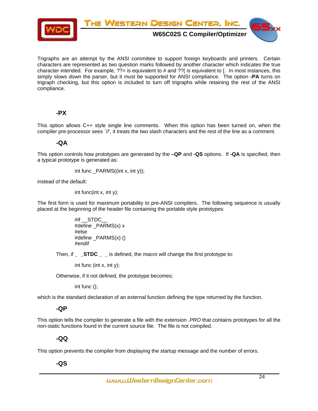

Trigraphs are an attempt by the ANSI committee to support foreign keyboards and printers. Certain characters are represented as two question marks followed by another character which indicates the true character intended. For example,  $\frac{2}{7}$  is equivalent to # and  $\frac{2}{7}$  is equivalent to [. In most instances, this simply slows down the parser, but it must be supported for ANSI compliance. The option **-PA** turns on trigraph checking, but this option is included to turn off trigraphs while retaining the rest of the ANSI compliance.

#### **-PX**

This option allows C++ style single line comments. When this option has been turned on, when the compiler pre-processor sees `//', it treats the two slash characters and the rest of the line as a comment.

#### **-QA**

This option controls how prototypes are generated by the **–QP** and **-QS** options. If **-QA** is specified, then a typical prototype is generated as:

$$
int func _PARNS((int x, int y));
$$

instead of the default:

int func(int x, int y);

The first form is used for maximum portability to pre-ANSI compilers. The following sequence is usually placed at the beginning of the header file containing the portable style prototypes:

```
#if __STDC_
#define _PARMS(x) x 
#else 
#define _PARMS(x) () 
#endif
```
Then, if **STDC** is defined, the macro will change the first prototype to:

int func (int x, int y);

Otherwise, if it not defined, the prototype becomes:

int func ();

which is the standard declaration of an external function defining the type returned by the function.

#### **-QP**

This option tells the compiler to generate a file with the extension *.PRO* that contains prototypes for all the non-static functions found in the current source file. The file is not compiled.

#### **-QQ**

This option prevents the compiler from displaying the startup message and the number of errors.

**-QS**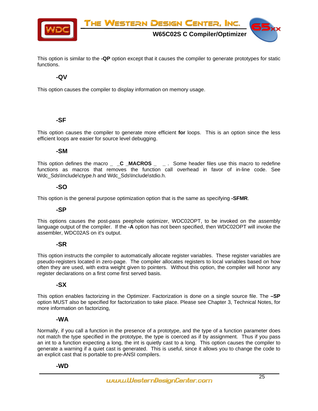

This option is similar to the **-QP** option except that it causes the compiler to generate prototypes for static functions.

#### **-QV**

This option causes the compiler to display information on memory usage.

#### **-SF**

This option causes the compiler to generate more efficient **for** loops. This is an option since the less efficient loops are easier for source level debugging.

#### **-SM**

This option defines the macro \_ \_C \_MACROS \_ \_ . Some header files use this macro to redefine functions as macros that removes the function call overhead in favor of in-line code. See Wdc\_Sds\Include\ctype.h and Wdc\_Sds\Include\stdio.h.

#### **-SO**

This option is the general purpose optimization option that is the same as specifying **-SFMR**.

#### **-SP**

This options causes the post-pass peephole optimizer, WDC02OPT, to be invoked on the assembly language output of the compiler. If the **-A** option has not been specified, then WDC02OPT will invoke the assembler, WDC02AS on it's output.

#### **-SR**

This option instructs the compiler to automatically allocate register variables. These register variables are pseudo-registers located in zero-page. The compiler allocates registers to local variables based on how often they are used, with extra weight given to pointers. Without this option, the compiler will honor any register declarations on a first come first served basis.

#### **-SX**

This option enables factorizing in the Optimizer. Factorization is done on a single source file. The **–SP** option MUST also be specified for factorization to take place. Please see Chapter 3, Technical Notes, for more information on factorizing,

#### **-WA**

Normally, if you call a function in the presence of a prototype, and the type of a function parameter does not match the type specified in the prototype, the type is coerced as if by assignment. Thus if you pass an int to a function expecting a long, the int is quietly cast to a long. This option causes the compiler to generate a warning if a quiet cast is generated. This is useful, since it allows you to change the code to an explicit cast that is portable to pre-ANSI compilers.

#### **-WD**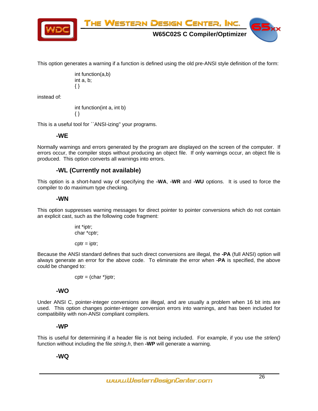

This option generates a warning if a function is defined using the old pre-ANSI style definition of the form:

```
int function(a,b) 
int a, b; 
{ }
```
instead of:

int function(int a, int b) { }

This is a useful tool for ``ANSI-izing'' your programs.

#### **-WE**

Normally warnings and errors generated by the program are displayed on the screen of the computer. If errors occur, the compiler stops without producing an object file. If only warnings occur, an object file is produced. This option converts all warnings into errors.

#### **-WL (Currently not available)**

This option is a short-hand way of specifying the **-WA**, **-WR** and **-WU** options. It is used to force the compiler to do maximum type checking.

#### **-WN**

This option suppresses warning messages for direct pointer to pointer conversions which do not contain an explicit cast, such as the following code fragment:

> int \*iptr; char \*cptr;

 $cptr = iptr;$ 

Because the ANSI standard defines that such direct conversions are illegal, the **-PA** (full ANSI) option will always generate an error for the above code. To eliminate the error when **-PA** is specified, the above could be changed to:

 $cptr = (char *)iptr;$ 

#### **-WO**

Under ANSI C, pointer-integer conversions are illegal, and are usually a problem when 16 bit ints are used. This option changes pointer-integer conversion errors into warnings, and has been included for compatibility with non-ANSI compliant compilers.

#### **-WP**

This is useful for determining if a header file is not being included. For example, if you use the *strlen()* function without including the file *string.h*, then **-WP** will generate a warning.

#### **-WQ**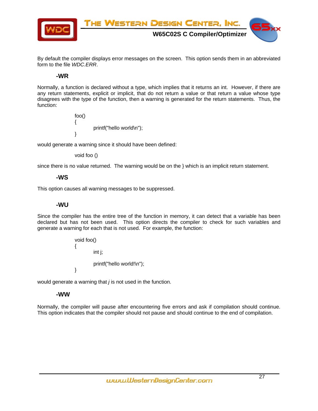

By default the compiler displays error messages on the screen. This option sends them in an abbreviated form to the file *WDC.ERR*.

#### **-WR**

Normally, a function is declared without a type, which implies that it returns an int. However, if there are any return statements, explicit or implicit, that do not return a value or that return a value whose type disagrees with the type of the function, then a warning is generated for the return statements. Thus, the function:

> foo() { printf("hello world\n"); }

would generate a warning since it should have been defined:

void foo ()

since there is no value returned. The warning would be on the } which is an implicit return statement.

#### **-WS**

This option causes all warning messages to be suppressed.

#### **-WU**

Since the compiler has the entire tree of the function in memory, it can detect that a variable has been declared but has not been used. This option directs the compiler to check for such variables and generate a warning for each that is not used. For example, the function:

```
void foo() 
{ 
          int j; 
          printf("hello world!\n"); 
}
```
would generate a warning that *j* is not used in the function.

#### **-WW**

Normally, the compiler will pause after encountering five errors and ask if compilation should continue. This option indicates that the compiler should not pause and should continue to the end of compilation.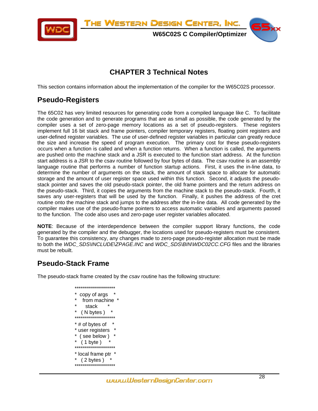<span id="page-27-0"></span>

**W65C02S C Compiler/Optimizer**

#### **CHAPTER 3 Technical Notes**

This section contains information about the implementation of the compiler for the W65C02S processor.

### **Pseudo-Registers**

The 65C02 has very limited resources for generating code from a compiled language like C. To facilitate the code generation and to generate programs that are as small as possible, the code generated by the compiler uses a set of zero-page memory locations as a set of pseudo-registers. These registers implement full 16 bit stack and frame pointers, compiler temporary registers, floating point registers and user-defined register variables. The use of user-defined register variables in particular can greatly reduce the size and increase the speed of program execution. The primary cost for these pseudo-registers occurs when a function is called and when a function returns. When a function is called, the arguments are pushed onto the machine stack and a JSR is executed to the function start address. At the function start address is a JSR to the csav routine followed by four bytes of data. The csav routine is an assembly language routine that performs a number of function startup actions. First, it uses the in-line data, to determine the number of arguments on the stack, the amount of stack space to allocate for automatic storage and the amount of user register space used within this function. Second, it adjusts the pseudostack pointer and saves the old pseudo-stack pointer, the old frame pointers and the return address on the pseudo-stack. Third, it copies the arguments from the machine stack to the pseudo-stack. Fourth, it saves any user-registers that will be used by the function. Finally, it pushes the address of the cret routine onto the machine stack and jumps to the address after the in-line data. All code generated by the compiler makes use of the pseudo-frame pointers to access automatic variables and arguments passed to the function. The code also uses and zero-page user register variables allocated.

**NOTE**: Because of the interdependence between the compiler support library functions, the code generated by the compiler and the debugger, the locations used for pseudo-registers must be consistent. To guarantee this consistency, any changes made to zero-page pseudo-register allocation must be made to both the *WDC\_SDS\INCLUDE\ZPAGE.INC* and *WDC\_SDS\BIN\WDC02CC.CFG* files and the libraries must be rebuilt.

#### **Pseudo-Stack Frame**

The pseudo-stack frame created by the *csav* routine has the following structure:

```
******************** 
  copy of args
   from machine
     stack
   ( N bytes )******************** 
* # of bytes of
* user registers * 
  ( see below )
   ( 1 \text{ byte } )******************** 
* local frame ptr * 
  (2 \text{ bytes})********************
```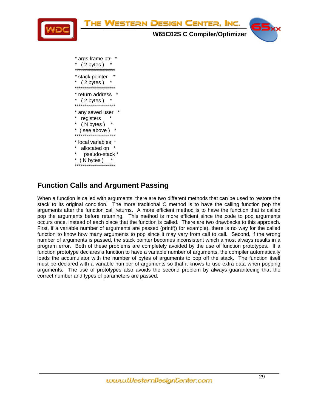<span id="page-28-0"></span>

#### **Function Calls and Argument Passing**

When a function is called with arguments, there are two different methods that can be used to restore the stack to its original condition. The more traditional C method is to have the calling function pop the arguments after the function call returns. A more efficient method is to have the function that is called pop the arguments before returning. This method is more efficient since the code to pop arguments occurs once, instead of each place that the function is called. There are two drawbacks to this approach. First, if a variable number of arguments are passed (printf() for example), there is no way for the called function to know how many arguments to pop since it may vary from call to call. Second, if the wrong number of arguments is passed, the stack pointer becomes inconsistent which almost always results in a program error. Both of these problems are completely avoided by the use of function prototypes. If a function prototype declares a function to have a variable number of arguments, the compiler automatically loads the accumulator with the number of bytes of arguments to pop off the stack. The function itself must be declared with a variable number of arguments so that it knows to use extra data when popping arguments. The use of prototypes also avoids the second problem by always guaranteeing that the correct number and types of parameters are passed.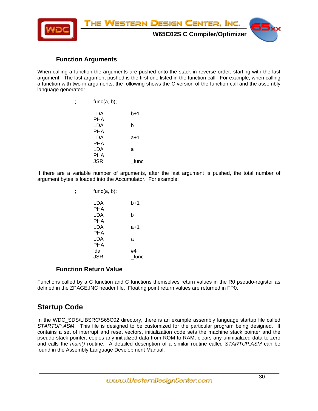<span id="page-29-0"></span>

#### **Function Arguments**

When calling a function the arguments are pushed onto the stack in reverse order, starting with the last argument. The last argument pushed is the first one listed in the function call. For example, when calling a function with two in arguments, the following shows the C version of the function call and the assembly language generated:

| ÿ | func(a, b); |       |
|---|-------------|-------|
|   | LDA         | $b+1$ |
|   | PHA         |       |
|   | LDA         | b     |
|   | PHA         |       |
|   | LDA         | a+1   |
|   | PHA         |       |
|   | LDA         | a     |
|   | PHA         |       |
|   | JSR         | func  |
|   |             |       |

If there are a variable number of arguments, after the last argument is pushed, the total number of argument bytes is loaded into the Accumulator. For example:

| ÿ | func(a, b); |      |
|---|-------------|------|
|   | LDA         | b+1  |
|   | PHA         |      |
|   | LDA         | b    |
|   | <b>PHA</b>  |      |
|   | LDA         | a+1  |
|   | PHA         |      |
|   | LDA         | a    |
|   | PHA         |      |
|   | lda         | #4   |
|   | JSR         | func |
|   |             |      |

#### **Function Return Value**

Functions called by a C function and C functions themselves return values in the R0 pseudo-register as defined in the ZPAGE.INC header file. Floating point return values are returned in FP0.

#### **Startup Code**

In the WDC\_SDS\LIBSRC\S65C02 directory, there is an example assembly language startup file called *STARTUP.ASM*. This file is designed to be customized for the particular program being designed. It contains a set of interrupt and reset vectors, initialization code sets the machine stack pointer and the pseudo-stack pointer, copies any initialized data from ROM to RAM, clears any uninitialized data to zero and calls the *main()* routine. A detailed description of a similar routine called *STARTUP.ASM* can be found in the Assembly Language Development Manual.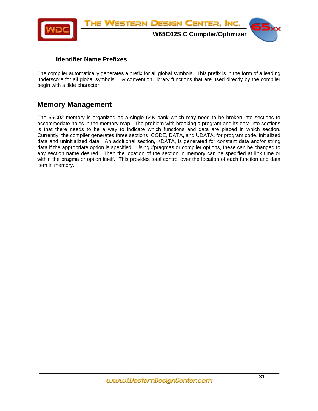<span id="page-30-0"></span>

#### **Identifier Name Prefixes**

The compiler automatically generates a prefix for all global symbols. This prefix is in the form of a leading underscore for all global symbols. By convention, library functions that are used directly by the compiler begin with a tilde character.

#### **Memory Management**

The 65C02 memory is organized as a single 64K bank which may need to be broken into sections to accommodate holes in the memory map. The problem with breaking a program and its data into sections is that there needs to be a way to indicate which functions and data are placed in which section. Currently, the compiler generates three sections, CODE, DATA, and UDATA, for program code, initialized data and uninitialized data. An additional section, KDATA, is generated for constant data and/or string data if the appropriate option is specified. Using #pragmas or compiler options, these can be changed to any section name desired. Then the location of the section in memory can be specified at link time or within the pragma or option itself. This provides total control over the location of each function and data item in memory.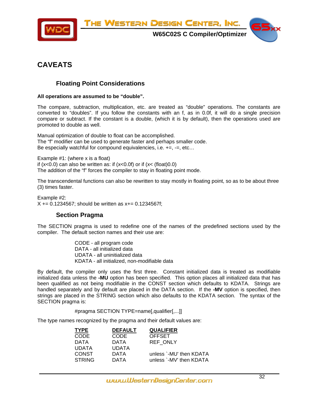<span id="page-31-0"></span>

**W65C02S C Compiler/Optimizer**



#### **CAVEATS**

#### **Floating Point Considerations**

#### **All operations are assumed to be "double".**

The compare, subtraction, multiplication, etc. are treated as "double" operations. The constants are converted to "doubles". If you follow the constants with an f, as in 0.0f, it will do a single precision compare or subtract. If the constant is a double, (which it is by default), then the operations used are promoted to double as well.

Manual optimization of double to float can be accomplished. The "f" modifier can be used to generate faster and perhaps smaller code. Be especially watchful for compound equivalencies, i.e.  $+=, =, etc...$ 

Example #1: (where x is a float) if  $(x<0.0)$  can also be written as: if  $(x<0.0f)$  or if  $(x<(f$ loat $)0.0)$ The addition of the "f" forces the compiler to stay in floating point mode.

The transcendental functions can also be rewritten to stay mostly in floating point, so as to be about three (3) times faster.

Example #2:  $X$  += 0.1234567; should be written as  $x+=0.1234567f$ ;

#### **Section Pragma**

The SECTION pragma is used to redefine one of the names of the predefined sections used by the compiler. The default section names and their use are:

> CODE - all program code DATA - all initialized data UDATA - all uninitialized data KDATA - all initialized, non-modifiable data

By default, the compiler only uses the first three. Constant initialized data is treated as modifiable initialized data unless the **-MU** option has been specified. This option places all initialized data that has been qualified as not being modifiable in the CONST section which defaults to KDATA. Strings are handled separately and by default are placed in the DATA section. If the **-MV** option is specified, then strings are placed in the STRING section which also defaults to the KDATA section. The syntax of the SECTION pragma is:

#pragma SECTION TYPE=name[,qualifier[,...]]

The type names recognized by the pragma and their default values are:

| TYPE   | <b>DEFAULT</b> | <b>QUALIFIER</b>        |
|--------|----------------|-------------------------|
| CODE   | <b>CODE</b>    | <b>OFFSET</b>           |
| DATA   | DATA           | <b>REF ONLY</b>         |
| UDATA  | <b>UDATA</b>   |                         |
| CONST  | <b>DATA</b>    | unless `-MU' then KDATA |
| STRING | <b>DATA</b>    | unless `-MV' then KDATA |
|        |                |                         |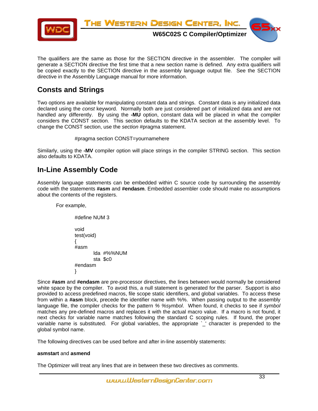<span id="page-32-0"></span>

The qualifiers are the same as those for the SECTION directive in the assembler. The compiler will generate a SECTION directive the first time that a new section name is defined. Any extra qualifiers will be copied exactly to the SECTION directive in the assembly language output file. See the SECTION directive in the Assembly Language manual for more information.

#### **Consts and Strings**

Two options are available for manipulating constant data and strings. Constant data is any initialized data declared using the *const* keyword. Normally both are just considered part of initialized data and are not handled any differently. By using the **-MU** option, constant data will be placed in what the compiler considers the CONST section. This section defaults to the KDATA section at the assembly level. To change the CONST section, use the *section* #pragma statement.

```
#pragma section CONST=yournamehere
```
Similarly, using the **-MV** compiler option will place strings in the compiler STRING section. This section also defaults to KDATA.

#### **In-Line Assembly Code**

Assembly language statements can be embedded within C source code by surrounding the assembly code with the statements **#asm** and **#endasm**. Embedded assembler code should make no assumptions about the contents of the registers.

For example,

#define NUM 3 void test(void) { #asm lda #%%NUM sta \$c0 #endasm }

Since **#asm** and **#endasm** are pre-processor directives, the lines between would normally be considered white space by the compiler. To avoid this, a null statement is generated for the parser. Support is also provided to access predefined macros, file scope static identifiers, and global variables. To access these from within a **#asm** block, precede the identifier name with %%. When passing output to the assembly language file, the compiler checks for the pattern *% %symbol*. When found, it checks to see if *symbol* matches any pre-defined macros and replaces it with the actual macro value. If a macro is not found, it next checks for variable name matches following the standard C scoping rules. If found, the proper variable name is substituted. For global variables, the appropriate `\_' character is prepended to the global symbol name.

The following directives can be used before and after in-line assembly statements:

#### **asmstart** and **asmend**

The Optimizer will treat any lines that are in between these two directives as comments.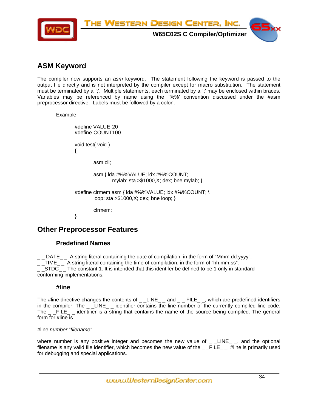<span id="page-33-0"></span>

#### **ASM Keyword**

The compiler now supports an *asm* keyword. The statement following the keyword is passed to the output file directly and is not interpreted by the compiler except for macro substitution. The statement must be terminated by a `;'. Multiple statements, each terminated by a `;' may be enclosed within braces. Variables may be referenced by name using the `%%' convention discussed under the #asm preprocessor directive. Labels must be followed by a colon.

Example

#define VALUE 20 #define COUNT 100 void test( void ) { asm cli; asm { lda #%%VALUE; ldx #%%COUNT; mylab: sta >\$1000,X; dex; bne mylab; } #define clrmem asm { lda #%%VALUE; ldx #%%COUNT; \ loop: sta >\$1000,X; dex; bne loop; } clrmem; }

#### **Other Preprocessor Features**

#### **Predefined Names**

 $\Box$  DATE  $\Box$  A string literal containing the date of compilation, in the form of "Mmm:dd:yyyy". \_ \_TIME\_ \_ A string literal containing the time of compilation, in the form of "hh:mm:ss".  $\_$  STDC $\_$  The constant 1. It is intended that this identifer be defined to be 1 only in standardconforming implementations.

#### **#line**

The #line directive changes the contents of  $\rule{1em}{0.15mm}$   $\phantom{0}$  LINE\_ \_ and  $\rule{1em}{0.15mm}$   $\phantom{0}$   $\phantom{0}$  FILE\_ \_, which are predefined identifiers in the compiler. The \_ \_LINE\_ \_ identifier contains the line number of the currently compiled line code. The FILE identifier is a string that contains the name of the source being compiled. The general form for #line is

#line *number* "*filename"*

where number is any positive integer and becomes the new value of  $\angle$   $\angle$  LINE $\angle$   $\angle$ , and the optional filename is any valid file identifier, which becomes the new value of the \_\_FILE\_\_. #line is primarily used for debugging and special applications.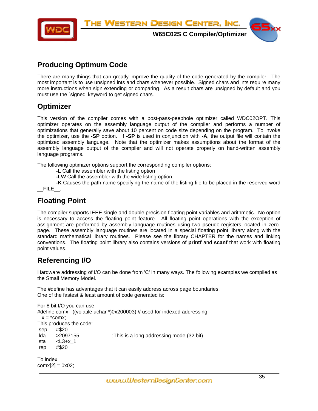<span id="page-34-0"></span>

#### **Producing Optimum Code**

There are many things that can greatly improve the quality of the code generated by the compiler. The most important is to use unsigned ints and chars whenever possible. Signed chars and ints require many more instructions when sign extending or comparing. As a result chars are unsigned by default and you must use the `signed' keyword to get signed chars.

#### **Optimizer**

This version of the compiler comes with a post-pass-peephole optimizer called WDC02OPT. This optimizer operates on the assembly language output of the compiler and performs a number of optimizations that generally save about 10 percent on code size depending on the program. To invoke the optimizer, use the **-SP** option. If **-SP** is used in conjunction with **-A**, the output file will contain the optimized assembly language. Note that the optimizer makes assumptions about the format of the assembly language output of the compiler and will not operate properly on hand-written assembly language programs.

The following optimizer options support the corresponding compiler options:

- **-L** Call the assembler with the listing option
- **-LW** Call the assembler with the wide listing option.

**-K** Causes the path name specifying the name of the listing file to be placed in the reserved word  $\_$  FILE  $\_$ .

#### **Floating Point**

The compiler supports IEEE single and double precision floating point variables and arithmetic. No option is necessary to access the floating point feature. All floating point operations with the exception of assignment are performed by assembly language routines using two pseudo-registers located in zeropage. These assembly language routines are located in a special floating point library along with the standard mathematical library routines. Please see the library CHAPTER for the names and linking conventions. The floating point library also contains versions of **printf** and **scanf** that work with floating point values.

#### **Referencing I/O**

Hardware addressing of I/O can be done from 'C' in many ways. The following examples we compiled as the Small Memory Model.

The #define has advantages that it can easily address across page boundaries. One of the fastest & least amount of code generated is:

```
For 8 bit I/O you can use 
#define comx ((volatile uchar *)0x200003) // used for indexed addressing 
 x = *comx:
This produces the code: 
 sep #$20 
 lda >2097155 ;This is a long addressing mode (32 bit) 
sta <L3+x 1
 rep #$20 
To index 
conv[2] = 0x02;
```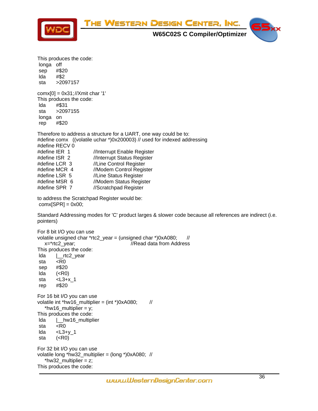

**W65C02S C Compiler/Optimizer**



This produces the code: longa off sep #\$20 lda #\$2 sta >2097157  $comx[0] = 0x31; //Xmit char '1'$ This produces the code: lda #\$31 sta >2097155 longa on rep #\$20 Therefore to address a structure for a UART, one way could be to: #define comx ((volatile uchar \*)0x200003) // used for indexed addressing #define RECV 0 #define IER 1 //Interrupt Enable Register #define ISR 2 //Interrupt Status Register #define LCR 3 //Line Control Register #define MCR 4 //Modem Control Register #define LSR 5 //Line Status Register #define MSR 6 //Modem Status Register #define SPR 7 //Scratchpad Register to address the Scratchpad Register would be:  $conv[SPR] = 0x00;$ Standard Addressing modes for 'C' product larges & slower code because all references are indirect (i.e. pointers) For 8 bit I/O you can use volatile unsigned char \*rtc2\_year = (unsigned char \*)0xA080;  $\frac{1}{2}$ x=\*rtc2\_year; //Read data from Address This produces the code: lda |\_\_rtc2\_year sta <R0 sep #\$20 lda (<R0) sta <L3+x\_1 rep #\$20 For 16 bit I/O you can use volatile int \*hw16\_multiplier = (int \*)0xA080;  $\frac{1}{10}$ \*hw16\_multiplier =  $y$ ; This produces the code: lda |\_\_hw16\_multiplier sta <R0 lda <L3+y\_1 sta (<R0) For 32 bit I/O you can use volatile long \*hw32\_multiplier = (long \*)0xA080; // \*hw32 multiplier =  $z$ ; This produces the code: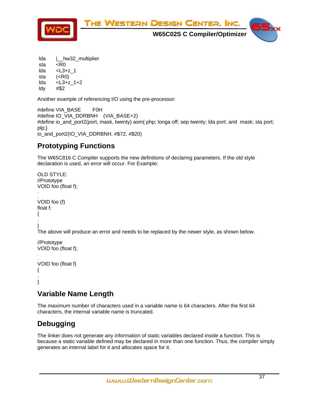

 lda |\_\_hw32\_multiplier sta <R0 lda <L3+z\_1 sta (<R0) lda <L3+z\_1+2 ldy #\$2

Another example of referencing I/O using the pre-processor:

#define VIA\_BASE F0H #define IO\_VIA\_DDRBNH (VIA\_BASE+2) #define io\_and\_port2(port, mask, twenty) asm{ php; longa off; sep twenty; lda port; and mask; sta port; plp;} io\_and\_port2(IO\_VIA\_DDRBNH, #\$72, #\$20)

## **Prototyping Functions**

The W65C816 C Compiler supports the new definitions of declaring parameters. If the old style declaration is used, an error will occur. For Example;

```
OLD STYLE: 
//Prototype 
VOID foo (float f); 
. 
. 
VOID foo (f) 
float f; 
{ 
.
} 
The above will produce an error and needs to be replaced by the newer style, as shown below. 
//Prototype 
VOID foo (float f); 
. 
. 
VOID foo (float f)
```

```
{ 
. 
}
```
## **Variable Name Length**

The maximum number of characters used in a variable name is 64 characters. After the first 64 characters, the internal variable name is truncated.

# **Debugging**

The linker does not generate any information of static variables declared inside a function. This is because a static variable defined may be declared in more than one function. Thus, the compiler simply generates an internal label for it and allocates space for it.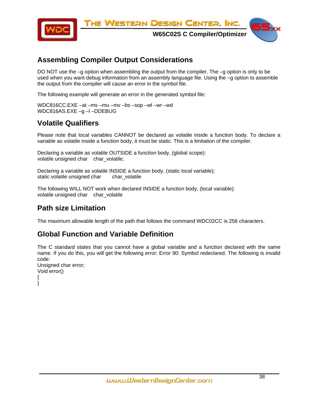

## **Assembling Compiler Output Considerations**

DO NOT use the  $-q$  option when assembling the output from the compiler. The  $-q$  option is only to be used when you want debug information from an assembly language file. Using the –g option to assemble the output from the compiler will cause an error in the symbol file.

The following example will generate an error in the generated symbol file:

WDC816CC.EXE –at –ms –mu –mv –bs –sop –wl –wr –wd WDC816AS.EXE -g -l -DDEBUG

### **Volatile Qualifiers**

Please note that local variables CANNOT be declared as volatile inside a function body. To declare a variable as volatile inside a function body, it must be static. This is a limitation of the compiler.

Declaring a variable as volatile OUTSIDE a function body, (global scope): volatile unsigned char char\_volatile;

Declaring a variable as volatile INSIDE a function body, (static local variable); static volatile unsigned char char\_volatile

The following WILL NOT work when declared INSIDE a function body, (local variable): volatile unsigned char char\_volatile

### **Path size Limitation**

The maximum allowable length of the path that follows the command WDC02CC is 256 characters.

### **Global Function and Variable Definition**

The C standard states that you cannot have a global variable and a function declared with the same name. If you do this, you will get the following error: Error 90: Symbol redeclared. The following is invalid code:

```
Unsigned char error; 
Void error() 
{ 
}
```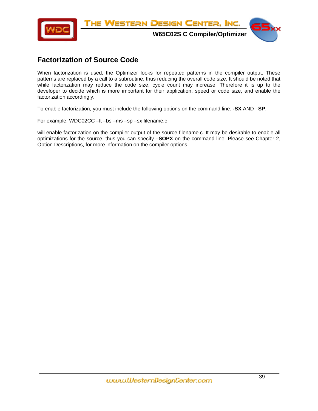

### **Factorization of Source Code**

When factorization is used, the Optimizer looks for repeated patterns in the compiler output. These patterns are replaced by a call to a subroutine, thus reducing the overall code size. It should be noted that while factorization may reduce the code size, cycle count may increase. Therefore it is up to the developer to decide which is more important for their application, speed or code size, and enable the factorization accordingly.

To enable factorization, you must include the following options on the command line: **-SX** AND **–SP**.

For example: WDC02CC –lt –bs –ms –sp –sx filename.c

will enable factorization on the compiler output of the source filename.c. It may be desirable to enable all optimizations for the source, thus you can specify **–SOPX** on the command line. Please see Chapter 2, Option Descriptions, for more information on the compiler options.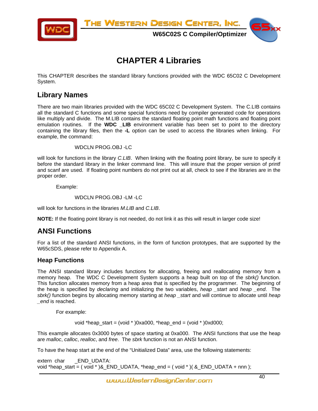



**W65C02S C Compiler/Optimizer**

# **CHAPTER 4 Libraries**

This CHAPTER describes the standard library functions provided with the WDC 65C02 C Development System.

### **Library Names**

There are two main libraries provided with the WDC 65C02 C Development System. The C.LIB contains all the standard C functions and some special functions need by compiler generated code for operations like multiply and divide. The M.LIB contains the standard floating point math functions and floating point emulation routines. If the **WDC \_LIB** environment variable has been set to point to the directory containing the library files, then the **-L** option can be used to access the libraries when linking. For example, the command:

WDCLN PROG.OBJ -LC

will look for functions in the library *C.LIB*. When linking with the floating point library, be sure to specify it before the standard library in the linker command line. This will insure that the proper version of printf and scanf are used. If floating point numbers do not print out at all, check to see if the libraries are in the proper order.

Example:

WDCLN PROG.OBJ -LM -LC

will look for functions in the libraries *M.LIB* and *C.LIB*.

**NOTE:** If the floating point library is not needed, do not link it as this will result in larger code size!

### **ANSI Functions**

For a list of the standard ANSI functions, in the form of function prototypes, that are supported by the W65cSDS, please refer to Appendix A.

### **Heap Functions**

The ANSI standard library includes functions for allocating, freeing and reallocating memory from a memory heap. The WDC C Development System supports a heap built on top of the *sbrk()* function. This function allocates memory from a heap area that is specified by the programmer. The beginning of the heap is specified by *declaring* and initializing the two variables, *heap \_start* and *heap \_end*. The *sbrk()* function begins by allocating memory starting at *heap \_start* and will continue to allocate until *heap \_end* is reached.

For example:

void \*heap\_start = (void \* )0xa000, \*heap\_end = (void \* )0xd000;

This example allocates 0x3000 bytes of space starting at 0xa000. The ANSI functions that use the heap are *malloc*, *calloc*, *realloc*, and *free*. The *sbrk* function is not an ANSI function.

To have the heap start at the end of the "Unitialized Data" area, use the following statements:

extern char **END** UDATA: void \*heap\_start = ( void \* )&\_END\_UDATA, \*heap\_end = ( void \* )( &\_END\_UDATA + nnn );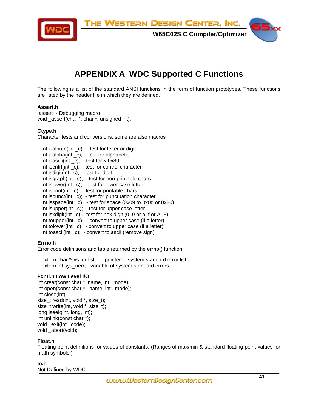THE WESTERN DESIGN CENTER, INC.



**W65C02S C Compiler/Optimizer**



# **APPENDIX A WDC Supported C Functions**

The following is a list of the standard ANSI functions in the form of function prototypes. These functions are listed by the header file in which they are defined.

#### **Assert.h**

 assert - Debugging macro void \_assert(char \*, char \*, unsigned int);

#### **Ctype.h**

Character tests and conversions, some are also macros

 $int$  int isalnum(int c); - test for letter or digit  $int$  int isalpha(int  $c$ ); - test for alphabetic int isascii(int  $_c$ ); - test for < 0x80 int iscntrl(int \_c); - test for control character int isdigit(int \_c); - test for digit int isgraph(int  $_c$ ); - test for non-printable chars  $int$  int islower(int  $c$ ); - test for lower case letter int isprint(int  $\lfloor$ c); - test for printable chars int ispunct(int \_c); - test for punctuation character int isspace(int \_c); - test for space (0x09 to 0x0d or 0x20) int isupper(int \_c); - test for upper case letter int isxdigit(int \_c); - test for hex digit (0..9 or a..f or A..F) int toupper(int  $c$ ); - convert to upper case (if a letter) int tolower(int \_c); - convert to upper case (if a letter) int toascii(int \_c); - convert to ascii (remove sign)

#### **Errno.h**

Error code definitions and table returned by the errno() function.

 extern char \*sys\_errlist[ ]; - pointer to system standard error list extern int sys\_nerr; - variable of system standard errors

#### **Fcntl.h Low Level I/O**

int creat(const char \*\_name, int \_mode); int open(const char \* \_name, int \_mode); int close(int); size\_t read(int, void \*, size\_t); size t write(int, void \*, size t); long lseek(int, long, int); int unlink(const char \*); void exit(int code); void \_abort(void);

#### **Float.h**

Floating point definitions for values of constants. (Ranges of max/min & standard floating point values for math symbols.)

**Io.h**  Not Defined by WDC.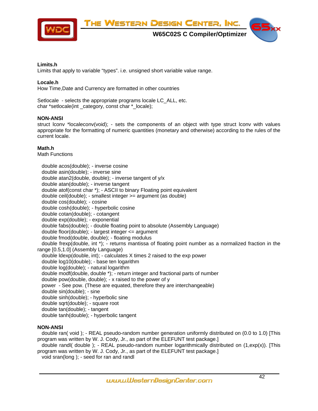THE WESTERN DESIGN CENTER, INC.



**W65C02S C Compiler/Optimizer**



#### **Limits.h**

Limits that apply to variable "types". i.e. unsigned short variable value range.

#### **Locale.h**

How Time,Date and Currency are formatted in other countries

Setlocale - selects the appropriate programs locale LC\_ALL, etc. char \*setlocale(int category, const char \* locale);

#### **NON-ANSI**

struct lconv \*localeconv(void); - sets the components of an object with type struct lconv with values appropriate for the formatting of numeric quantities (monetary and otherwise) according to the rules of the current locale.

#### **Math.h**

Math Functions

 double acos(double); - inverse cosine double asin(double); - inverse sine double atan2(double, double); - inverse tangent of y/x double atan(double); - inverse tangent double atof(const char \*); - ASCII to binary Floating point equivalent double ceil(double); - smallest integer >= argument (as double) double cos(double); - cosine double cosh(double); - hyperbolic cosine double cotan(double); - cotangent double exp(double); - exponential double fabs(double); - double floating point to absolute (Assembly Language) double floor(double); - largest integer <= argument double fmod(double, double); - floating modulus double frexp(double, int \*); - returns mantissa of floating point number as a normalized fraction in the range [0.5,1.0] (Assembly Language) double ldexp(double, int); - calculates X times 2 raised to the exp power double log10(double); - base ten logarithm double log(double); - natural logarithm double modf(double, double \*); - return integer and fractional parts of number double pow(double, double); - x raised to the power of y power - See pow. (These are equated, therefore they are interchangeable) double sin(double); - sine double sinh(double); - hyperbolic sine double sqrt(double); - square root double tan(double); - tangent double tanh(double); - hyperbolic tangent

#### **NON-ANSI**

 double ran( void ); - REAL pseudo-random number generation uniformly distributed on (0.0 to 1.0) [This program was written by W. J. Cody, Jr., as part of the ELEFUNT test package.]

 double randl( double ); - REAL pseudo-random number logarithmically distributed on (1,exp(x)). [This program was written by W. J. Cody, Jr., as part of the ELEFUNT test package.]

void sran(long ); - seed for ran and randl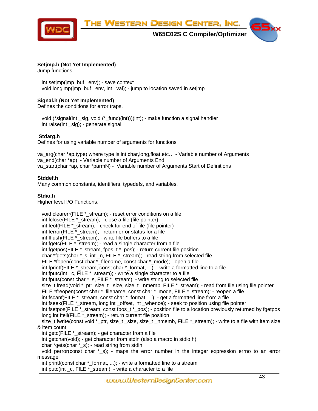

#### **Setjmp.h (Not Yet Implemented)**

Jump functions

 int setjmp(jmp\_buf \_env); - save context void longjmp(jmp\_buf \_env, int \_val); - jump to location saved in setjmp

#### **Signal.h (Not Yet Implemented)**

Defines the conditions for error traps.

 void (\*signal(int \_sig, void (\*\_func)(int)))(int); - make function a signal handler int raise(int sig); - generate signal

#### **Stdarg.h**

Defines for using variable number of arguments for functions

va\_arg(char \*ap,type) where type is int,char,long,float,etc… - Variable number of Arguments va\_end(char \*ap) - Variable number of Arguments End va start(char \*ap, char \*parmN) - Variable number of Arguments Start of Definitions

#### **Stddef.h**

Many common constants, identifiers, typedefs, and variables.

#### **Stdio.h**

Higher level I/O Functions.

```
 void clearerr(FILE *_stream); - reset error conditions on a file 
  int fclose(FILE *_stream); - close a file (file pointer) 
 int feof(FILE * stream); - check for end of file (file pointer)
 int ferror(FILE * stream); - return error status for a file
  int fflush(FILE *_stream); - write file buffers to a file 
 int first file \frac{1}{2} and \frac{1}{2} intermediate the character from a file
 int fgetpos(FILE *_stream, fpos_t *_pos); - return current file position 
 char *fgets(char *_s, int _n, FILE *_stream); - read string from selected file 
 FILE *fopen(const char * filename, const char * mode); - open a file
  int fprintf(FILE *_stream, const char *_format, ...); - write a formatted line to a file 
  int fputc(int _c, FILE *_stream); - write a single character to a file 
  int fputs(const char *_s, FILE *_stream); - write string to selected file 
 size_t fread(void *_ptr, size_t _size, size_t _nmemb, FILE *_stream); - read from file using file pointer
  FILE *freopen(const char *_filename, const char *_mode, FILE *_stream); - reopen a file 
 int fscanf(FILE * stream, const char * format, ...); - get a formatted line from a file
 int fseek(FILE *_stream, long int _offset, int _whence); - seek to position using file pointer
 int fsetpos(FILE *_stream, const fpos_t *_pos); - position file to a location previously returned by fgetpos
  long int ftell(FILE *_stream); - return current file position 
 size_t fwrite(const void *_ptr, size_t _size, size_t _nmemb, FILE *_stream); - write to a file with item size
& item count 
  int getc(FILE *_stream); - get character from a file 
  int getchar(void); - get character from stdin (also a macro in stdio.h) 
  char *gets(char *_s); - read string from stdin 
  void perror(const char *_s); - maps the error number in the integer expression errno to an error 
message 
 int printf(const char * format, ...); - write a formatted line to a stream
  int putc(int _c, FILE *_stream); - write a character to a file
```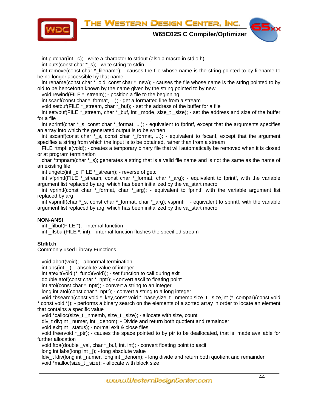

int putchar(int c); - write a character to stdout (also a macro in stdio.h)

 int puts(const char \*\_s); - write string to stdin int remove(const char \*\_filename); - causes the file whose name is the string pointed to by filename to be no longer accessible by that name int rename(const char \*\_old, const char \*\_new); - causes the file whose name is the string pointed to by old to be henceforth known by the name given by the string pointed to by new void rewind(FILE \*\_stream); - position a file to the beginning int scanf(const char \*\_format, ...); - get a formatted line from a stream void setbuf(FILE \*\_stream, char \*\_buf); - set the address of the buffer for a file int setvbuf(FILE \*\_stream, char \*\_buf, int \_mode, size\_t \_size); - set the address and size of the buffer for a file int sprintf(char  $*$  s, const char  $*$  format, ...); - equivalent to fprintf, except that the arguments specifies an array into which the generated output is to be written int sscanf(const char \*\_s, const char \*\_format, ...); - equivalent to fscanf, except that the argument specifies a string from which the input is to be obtained, rather than from a stream FILE \*tmpfile(void); - creates a temporary binary file that will automatically be removed when it is closed or at program termination char \*tmpnam(char \*\_s); generates a string that is a valid file name and is not the same as the name of an existing file int ungetc(int \_c, FILE \*\_stream); - reverse of getc int vfprintf(FILE \*\_stream, const char \*\_format, char \*\_arg); - equivalent to fprintf, with the variable argument list replaced by arg, which has been initialized by the va\_start macro int vprintf(const char  $*$  format, char  $*$  arg); - equivalent to fprintf, with the variable argument list replaced by arg int vsprintf(char \*\_s, const char \*\_format, char \*\_arg); vsprintf - equivalent to sprintf, with the variable argument list replaced by arg, which has been initialized by the va\_start macro **NON-ANSI**  int  $filbut(FILE^*)$ ; - internal function int  $flsbuf(FILE^*$ , int); - internal function flushes the specified stream **Stdlib.h**  Commonly used Library Functions. void abort(void); - abnormal termination int abs(int  $\jmath$ ); - absolute value of integer int atexit(void (\*\_func)(void)); - set function to call during exit double atof(const char \*\_nptr); - convert ascii to floating point int atoi(const char \*\_nptr); - convert a string to an integer long int atol(const char \*\_nptr); - convert a string to a long integer void \*bsearch(const void \*\_key,const void \*\_base,size\_t \_nmemb,size\_t \_size,int (\*\_compar)(const void \*,const void \*)); - performs a binary search on the elements of a sorted array in order to locate an element that contains a specific value void \*calloc(size\_t \_nmemb, size\_t \_size); - allocate with size, count div\_t div(int \_numer, int \_denom); - Divide and return both quotient and remainder void exit(int \_status); - normal exit & close files void free(void  $*_{ptr}$ ); - causes the space pointed to by ptr to be deallocated, that is, made available for further allocation void ftoa(double \_val, char \*\_buf, int, int); - convert floating point to ascii

long int labs(long int \_j); - long absolute value

 ldiv\_t ldiv(long int \_numer, long int \_denom); - long divide and return both quotient and remainder void \*malloc(size\_t \_size); - allocate with block size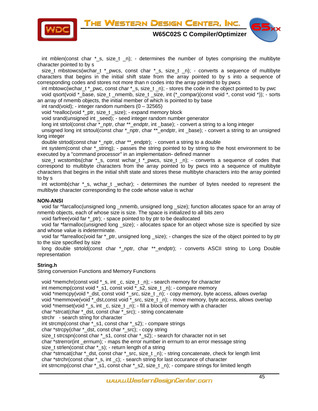THE WESTERN DESIGN CENTER, INC.



**W65C02S C Compiler/Optimizer**



int mblen(const char  $*$  s, size t n); - determines the number of bytes comprising the multibyte character pointed to by s

size\_t mbstowcs(wchar\_t \*\_pwcs, const char \*\_s, size\_t \_n); - converts a sequence of multibyte characters that begins in the initial shift state from the array pointed to by s into a sequence of corresponding codes and stores not more than n codes into the array pointed to by pwcs

 int mbtowc(wchar\_t \*\_pwc, const char \*\_s, size\_t \_n); - stores the code in the object pointed to by pwc void qsort(void \*\_base, size\_t \_nmemb, size\_t \_size, int (\*\_compar)(const void \*, const void \*)); - sorts an array of nmemb objects, the initial member of which is pointed to by base

int rand(void); - integer random numbers  $(0 - 32565)$ 

void \*realloc(void \*\_ptr, size\_t \_size); - expand memory block

void srand(unsigned int \_seed); - seed integer random number generator

long int strtol(const char \* nptr, char \*\* endptr, int base); - convert a string to a long integer

unsigned long int strtoul(const char \*\_nptr, char \*\*\_endptr, int \_base); - convert a string to an unsigned long integer

double strtod(const char \*\_nptr, char \*\*\_endptr); - convert a string to a double

 int system(const char \*\_string); - passes the string pointed to by string to the host environment to be executed by a "command processor" in an implementation- defined manner

size\_t wcstombs(char  $*_s$ , const wchar\_t  $*_p$ wcs, size\_t \_n); - converts a sequence of codes that correspond to multibyte characters from the array pointed to by pwcs into a sequence of multibyte characters that begins in the initial shift state and stores these multibyte characters into the array pointed to by s

 int wctomb(char \*\_s, wchar\_t \_wchar); - determines the number of bytes needed to represent the multibyte character corresponding to the code whose value is wchar

#### **NON-ANSI**

 void far \*farcalloc(unsigned long \_nmemb, unsigned long \_size); function allocates space for an array of nmemb objects, each of whose size is size. The space is initialized to all bits zero

void farfree(void far \*\_ptr); - space pointed to by ptr to be deallocated

 void far \*farmalloc(unsigned long \_size); - allocates space for an object whose size is specified by size and whose value is indeterminate.

 void far \*farrealloc(void far \*\_ptr, unsigned long \_size); - changes the size of the object pointed to by ptr to the size specified by size

long double strtold(const char \*\_nptr, char \*\*\_endptr); - converts ASCII string to Long Double representation

#### **String.h**

String conversion Functions and Memory Functions

```
 void *memchr(const void *_s, int _c, size_t _n); - search memory for character 
 int memcmp(const void *_s1, const void *_s2, size_t _n); - compare memory 
void *memcpy(void *_dst, const void *_src, size_t _n); - copy memory, byte access, allows overlap
void *memmove(void * dst,const void * src, size t n); - move memory, byte access, allows overlap
 void *memset(void *_s, int _c, size_t _n); - fill a block of memory with a character 
 char *strcat(char *_dst, const char *_src); - string concatenate 
 strchr - search string for character 
 int strcmp(const char *_s1, const char *_s2); - compare strings 
 char *strcpy(char *_dst, const char *_src); - copy string 
size t strcspn(const char * s1, const char * s2); - search for character not in set
char *strerror(int errnum); - maps the error number in errnum to an error message string
 size_t strlen(const char *_s); - return length of a string 
 char *strncat(char *_dst, const char *_src, size_t _n); - string concatenate, check for length limit 
 char *strchr(const char *_s, int _c); - search string for last occurance of character 
int strncmp(const char *_s1, const char *_s2, size_t _n); - compare strings for limited length
```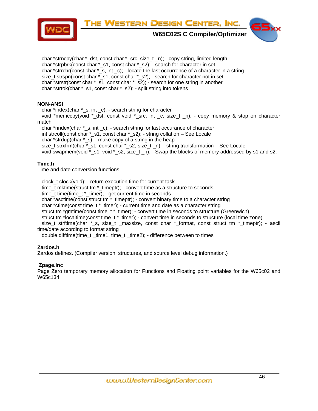



**W65C02S C Compiler/Optimizer**



char \*strncpy(char \* dst, const char \* src, size t  $\overline{n}$ ); - copy string, limited length char \*strpbrk(const char \*\_s1, const char \*\_s2); - search for character in set char \*strrchr(const char \*\_s, int \_c); - locate the last occurrence of a character in a string size\_t strspn(const char \*\_s1, const char \*\_s2); - search for character not in set char \*strstr(const char \*\_s1, const char \*\_s2); - search for one string in another char \*strtok(char \*\_s1, const char \*\_s2); - split string into tokens

#### **NON-ANSI**

 char \*index(char \*\_s, int \_c); - search string for character void \*memccpy(void \*\_dst, const void \*\_src, int \_c, size\_t \_n); - copy memory & stop on character match char \*rindex(char \*\_s, int \_c); - search string for last occurance of character

 int strcoll(const char \*\_s1, const char \*\_s2); - string collation – See Locale char \*strdup(char  $*_$ s); - make copy of a string in the heap

size\_t strxfrm(char  $*$ \_s1, const char  $*$ \_s2, size\_t \_n); - string transformation – See Locale

void swapmem(void  $*$ \_s1, void  $*$ \_s2, size\_t \_n); - Swap the blocks of memory addressed by s1 and s2.

#### **Time.h**

Time and date conversion functions

 clock\_t clock(void); - return execution time for current task time\_t mktime(struct tm \*\_timeptr); - convert time as a structure to seconds time\_t time(time\_t \*\_timer); - get current time in seconds char \*asctime(const struct tm \*\_timeptr); - convert binary time to a character string char \*ctime(const time\_t \*\_timer); - current time and date as a character string struct tm \*gmtime(const time\_t \*\_timer); - convert time in seconds to structure (Greenwich) struct tm \*localtime(const time t \* timer); - convert time in seconds to structure (local time zone) size\_t strftime(char \*\_s, size\_t \_maxsize, const char \*\_format, const struct tm \*\_timeptr); - ascii time/date according to format string

double difftime(time\_t\_time1, time\_t\_time2); - difference between to times

#### **Zardos.h**

Zardos defines. (Compiler version, structures, and source level debug information.)

#### **Zpage.inc**

Page Zero temporary memory allocation for Functions and Floating point variables for the W65c02 and W65c134.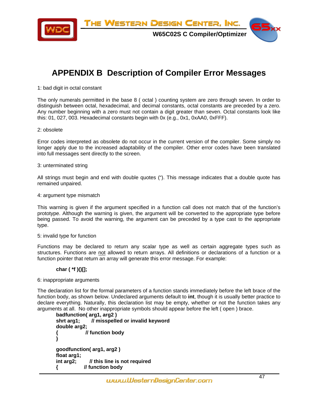THE WESTERN DESIGN CENTER, INC.



**W65C02S C Compiler/Optimizer**

# **APPENDIX B Description of Compiler Error Messages**

1: bad digit in octal constant

The only numerals permitted in the base 8 ( octal ) counting system are zero through seven. In order to distinguish between octal, hexadecimal, and decimal constants, octal constants are preceded by a zero. Any number beginning with a zero must not contain a digit greater than seven. Octal constants look like this: 01, 027, 003. Hexadecimal constants begin with 0x (e.g., 0x1, 0xAA0, 0xFFF).

#### 2: obsolete

Error codes interpreted as obsolete do not occur in the current version of the compiler. Some simply no longer apply due to the increased adaptability of the compiler. Other error codes have been translated into full messages sent directly to the screen.

#### 3: unterminated string

All strings must begin and end with double quotes ("). This message indicates that a double quote has remained unpaired.

#### 4: argument type mismatch

This warning is given if the argument specified in a function call does not match that of the function's prototype. Although the warning is given, the argument will be converted to the appropriate type before being passed. To avoid the warning, the argument can be preceded by a type cast to the appropriate type.

#### 5: invalid type for function

Functions may be declared to return any scalar type as well as certain aggregate types such as structures. Functions are not allowed to return arrays. All definitions or declarations of a function or a function pointer that return an array will generate this error message. For example:

#### **char ( \*f )()[];**

#### 6: inappropriate arguments

The declaration list for the formal parameters of a function stands immediately before the left brace of the function body, as shown below. Undeclared arguments default to **int**, though it is usually better practice to declare everything. Naturally, this declaration list may be empty, whether or not the function takes any arguments at all. No other inappropriate symbols should appear before the left ( open ) brace.

```
badfunction( arg1, arg2 ) 
shrt arg1; // misspelled or invalid keyword 
double arg2; 
{ // function body 
} 
goodfunction( arg1, arg2 ) 
float arg1; 
int arg2; // this line is not required 
{ // function body
```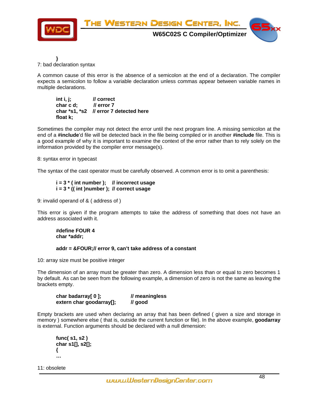

**}**  7: bad declaration syntax

A common cause of this error is the absence of a semicolon at the end of a declaration. The compiler expects a semicolon to follow a variable declaration unless commas appear between variable names in multiple declarations.

**int i, j; // correct char c d; // error 7 char \*s1, \*s2 // error 7 detected here float k;** 

Sometimes the compiler may not detect the error until the next program line. A missing semicolon at the end of a **#include**'d file will be detected back in the file being compiled or in another **#include** file. This is a good example of why it is important to examine the context of the error rather than to rely solely on the information provided by the compiler error message(s).

8: syntax error in typecast

The syntax of the cast operator must be carefully observed. A common error is to omit a parenthesis:

 **i = 3 \* ( int number ); // incorrect usage i = 3 \* (( int )number ); // correct usage** 

9: invalid operand of & ( address of )

This error is given if the program attempts to take the address of something that does not have an address associated with it.

 **#define FOUR 4 char \*addr;** 

 **addr = &FOUR; // error 9, can't take address of a constant** 

10: array size must be positive integer

The dimension of an array must be greater than zero. A dimension less than or equal to zero becomes 1 by default. As can be seen from the following example, a dimension of zero is not the same as leaving the brackets empty.

| char badarray[0];        | // meaningless |
|--------------------------|----------------|
| extern char goodarray[]; | // good        |

Empty brackets are used when declaring an array that has been defined ( given a size and storage in memory ) somewhere else ( that is, outside the current function or file). In the above example, **goodarray** is external. Function arguments should be declared with a null dimension:

```
 func( s1, s2 ) 
 char s1[], s2[]; 
 { 
 …
```
11: obsolete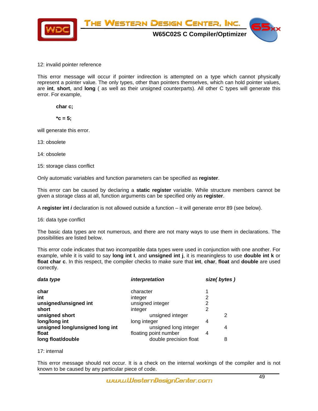

#### 12: invalid pointer reference

This error message will occur if pointer indirection is attempted on a type which cannot physically represent a pointer value. The only types, other than pointers themselves, which can hold pointer values, are **int**, **short**, and **long** ( as well as their unsigned counterparts). All other C types will generate this error. For example,

 **char c;** 

$$
{}^{\star}c=5;
$$

will generate this error.

13: obsolete

14: obsolete

15: storage class conflict

Only automatic variables and function parameters can be specified as **register**.

This error can be caused by declaring a **static register** variable. While structure members cannot be given a storage class at all, function arguments can be specified only as **register**.

A **register int** *i* declaration is not allowed outside a function – it will generate error 89 (see below).

16: data type conflict

The basic data types are not numerous, and there are not many ways to use them in declarations. The possibilities are listed below.

This error code indicates that two incompatible data types were used in conjunction with one another. For example, while it is valid to say **long int I**, and **unsigned int j**, it is meaningless to use **double int k** or **float char c**. In this respect, the compiler checks to make sure that **int**, **char**, **float** and **double** are used correctly.

| data type                       | interpretation         | size(bytes) |
|---------------------------------|------------------------|-------------|
| char                            | character              |             |
| int                             | integer                | 2           |
| unsigned/unsigned int           | unsigned integer       | 2           |
| short                           | integer                | 2           |
| unsigned short                  | unsigned integer       | 2           |
| long/long int                   | long integer           | 4           |
| unsigned long/unsigned long int | unsigned long integer  | 4           |
| float                           | floating point number  | 4           |
| long float/double               | double precision float | 8           |

#### 17: internal

This error message should not occur. It is a check on the internal workings of the compiler and is not known to be caused by any particular piece of code.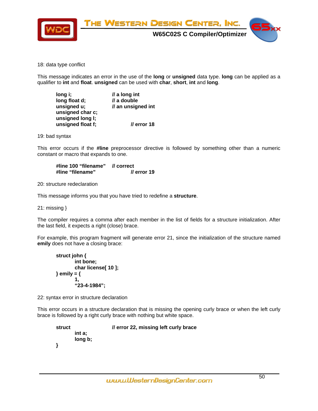

18: data type conflict

This message indicates an error in the use of the **long** or **unsigned** data type. **long** can be applied as a qualifier to **int** and **float**. **unsigned** can be used with **char**, **short**, **int** and **long**.

| long i;           | $\mathcal{U}$ a long int |
|-------------------|--------------------------|
| long float d;     | // a double              |
| unsigned u;       | // an unsigned int       |
| unsigned char c;  |                          |
| unsigned long I;  |                          |
| unsigned float f; | $\prime\prime$ error 18  |

19: bad syntax

This error occurs if the **#line** preprocessor directive is followed by something other than a numeric constant or macro that expands to one.

 **#line 100 "filename" // correct**  #line "filename"

20: structure redeclaration

This message informs you that you have tried to redefine a **structure**.

21: missing }

The compiler requires a comma after each member in the list of fields for a structure initialization. After the last field, it expects a right (close) brace.

For example, this program fragment will generate error 21, since the initialization of the structure named **emily** does not have a closing brace:

```
struct john { 
               int bone; 
               char license[ 10 ]; 
       } emily = { 
1,
               "23-4-1984";
```
22: syntax error in structure declaration

This error occurs in a structure declaration that is missing the opening curly brace or when the left curly brace is followed by a right curly brace with nothing but white space.

```
 struct // error 22, missing left curly brace 
        int a; 
        long b; 
 }
```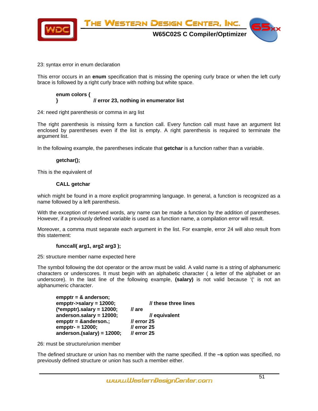

#### 23: syntax error in enum declaration

This error occurs in an **enum** specification that is missing the opening curly brace or when the left curly brace is followed by a right curly brace with nothing but white space.

#### **enum colors { } // error 23, nothing in enumerator list**

24: need right parenthesis or comma in arg list

The right parenthesis is missing form a function call. Every function call must have an argument list enclosed by parentheses even if the list is empty. A right parenthesis is required to terminate the argument list.

In the following example, the parentheses indicate that **getchar** is a function rather than a variable.

#### **getchar();**

This is the equivalent of

#### **CALL getchar**

which might be found in a more explicit programming language. In general, a function is recognized as a name followed by a left parenthesis.

With the exception of reserved words, any name can be made a function by the addition of parentheses. However, if a previously defined variable is used as a function name, a compilation error will result.

Moreover, a comma must separate each argument in the list. For example, error 24 will also result from this statement:

#### **funccall( arg1, arg2 arg3 );**

25: structure member name expected here

The symbol following the dot operator or the arrow must be valid. A valid name is a string of alphanumeric characters or underscores. It must begin with an alphabetic character ( a letter of the alphabet or an underscore). In the last line of the following example, **(salary)** is not valid because '(' is not an alphanumeric character.

| $empty = 8$ anderson;<br>empptr->salary = $12000$ ; | // these three lines    |
|-----------------------------------------------------|-------------------------|
| $(*empty).salary = 12000;$                          | // are                  |
| anderson.salary = $12000$ ;                         | // equivalent           |
| $empptr =$ & anderson.;                             | $\prime\prime$ error 25 |
| empptr- $= 12000$ ;                                 | $\prime\prime$ error 25 |
| anderson.(salary) = $12000$ ;                       | $\prime\prime$ error 25 |

26: must be structure/union member

The defined structure or union has no member with the name specified. If the **–s** option was specified, no previously defined structure or union has such a member either.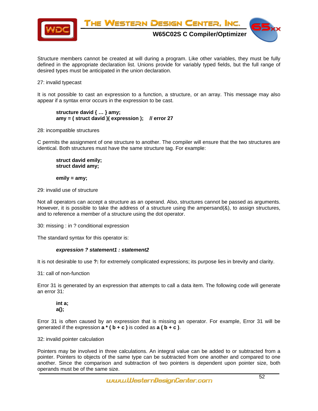

Structure members cannot be created at will during a program. Like other variables, they must be fully defined in the appropriate declaration list. Unions provide for variably typed fields, but the full range of desired types must be anticipated in the union declaration.

#### 27: invalid typecast

It is not possible to cast an expression to a function, a structure, or an array. This message may also appear if a syntax error occurs in the expression to be cast.

 **structure david { … } amy; amy = ( struct david )( expression ); // error 27** 

28: incompatible structures

C permits the assignment of one structure to another. The compiler will ensure that the two structures are identical. Both structures must have the same structure tag. For example:

 **struct david emily; struct david amy;** 

 **emily = amy;** 

29: invalid use of structure

Not all operators can accept a structure as an operand. Also, structures cannot be passed as arguments. However, it is possible to take the address of a structure using the ampersand $(8)$ , to assign structures, and to reference a member of a structure using the dot operator.

30: missing : in ? conditional expression

The standard syntax for this operator is:

#### *expression ? statement1 : statement2*

It is not desirable to use **?:** for extremely complicated expressions; its purpose lies in brevity and clarity.

31: call of non-function

Error 31 is generated by an expression that attempts to call a data item. The following code will generate an error 31:

 **int a; a();** 

Error 31 is often caused by an expression that is missing an operator. For example, Error 31 will be generated if the expression  $\mathbf{a}^* (\mathbf{b} + \mathbf{c})$  is coded as  $\mathbf{a} (\mathbf{b} + \mathbf{c})$ .

32: invalid pointer calculation

Pointers may be involved in three calculations. An integral value can be added to or subtracted from a pointer. Pointers to objects of the same type can be subtracted from one another and compared to one another. Since the comparison and subtraction of two pointers is dependent upon pointer size, both operands must be of the same size.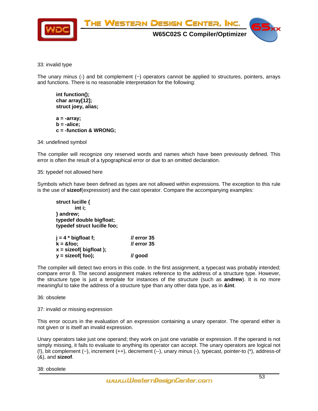

33: invalid type

The unary minus (-) and bit complement  $(\sim)$  operators cannot be applied to structures, pointers, arrays and functions. There is no reasonable interpretation for the following:

 **int function(); char array[12]; struct joey, alias;** 

 **a = -array; b = -alice; c = -function & WRONG;** 

34: undefined symbol

The compiler will recognize ony reserved words and names which have been previously defined. This error is often the result of a typographical error or due to an omitted declaration.

35: typedef not allowed here

Symbols which have been defined as types are not allowed within expressions. The exception to this rule is the use of **sizeof**(expression) and the cast operator. Compare the accompanying examples:

 **struct lucille { int i; } andrew; typedef double bigfloat; typedef struct lucille foo; j = 4 \* bigfloat f; // error 35 k = &foo; // error 35 x = sizeof( bigfloat );** 

 **y = sizeof( foo); // good** 

The compiler will detect two errors in this code. In the first assignment, a typecast was probably intended; compare error 8. The second assignment makes reference to the address of a structure type. However, the structure type is just a template for instances of the structure (such as **andrew**). It is no more meaningful to take the address of a structure type than any other data type, as in **&int**.

#### 36: obsolete

37: invalid or missing expression

This error occurs in the evaluation of an expression containing a unary operator. The operand either is not given or is itself an invalid expression.

Unary operators take just one operand; they work on just one variable or expression. If the operand is not simply missing, it fails to evaluate to anything its operator can accept. The unary operators are logical not (!), bit complement (~), increment (++), decrement (--), unary minus (-), typecast, pointer-to (\*), address-of (&), and **sizeof**.

38: obsolete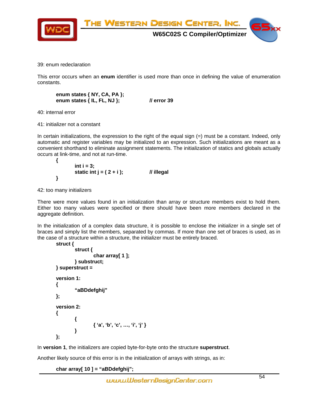

39: enum redeclaration

This error occurs when an **enum** identifier is used more than once in defining the value of enumeration constants.

```
 enum states { NY, CA, PA }; 
 enum states { IL, FL, NJ }; // error 39
```
40: internal error

41: initializer not a constant

In certain initializations, the expression to the right of the equal sign (=) must be a constant. Indeed, only automatic and register variables may be initialized to an expression. Such initializations are meant as a convenient shorthand to eliminate assignment statements. The initialization of statics and globals actually occurs at link-time, and not at run-time.

```
 { 
         int i = 3; 
         static int j = ( 2 + i ); // illegal 
 }
```
42: too many initializers

There were more values found in an initialization than array or structure members exist to hold them. Either too many values were specified or there should have been more members declared in the aggregate definition.

In the initialization of a complex data structure, it is possible to enclose the initializer in a single set of braces and simply list the members, separated by commas. If more than one set of braces is used, as in the case of a structure within a structure, the initializer must be entirely braced.

```
 struct { 
                   struct { 
                            char array[ 1 ]; 
                  } substruct; 
         } superstruct = 
         version 1: 
         { 
                   "aBDdefghij" 
         }; 
         version 2: 
         { 
                   { 
                            { 'a', 'b', 'c', …, 'i', 'j' } 
 } 
         };
```
In **version 1**, the initializers are copied byte-for-byte onto the structure **superstruct**.

Another likely source of this error is in the initialization of arrays with strings, as in:

 **char array[ 10 ] = "aBDdefghij";**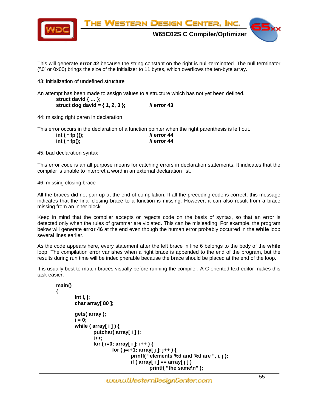

This will generate **error 42** because the string constant on the right is null-terminated. The null terminator ('\0' or 0x00) brings the size of the initializer to 11 bytes, which overflows the ten-byte array.

43: initialization of undefined structure

An attempt has been made to assign values to a structure which has not yet been defined.

 **struct david { … }; struct dog david = { 1, 2, 3 }; // error 43** 

44: missing right paren in declaration

This error occurs in the declaration of a function pointer when the right parenthesis is left out.

| int $(*$ fp $)();$ | <i>Il</i> error 44 |
|--------------------|--------------------|
| int $(*$ fp();     | <i>Il</i> error 44 |

45: bad declaration syntax

This error code is an all purpose means for catching errors in declaration statements. It indicates that the compiler is unable to interpret a word in an external declaration list.

46: missing closing brace

All the braces did not pair up at the end of compilation. If all the preceding code is correct, this message indicates that the final closing brace to a function is missing. However, it can also result from a brace missing from an inner block.

Keep in mind that the compiler accepts or regects code on the basis of syntax, so that an error is detected only when the rules of grammar are violated. This can be misleading. For example, the program below will generate **error 46** at the end even though the human error probably occurred in the **while** loop several lines earlier.

As the code appears here, every statement after the left brace in line 6 belongs to the body of the **while** loop. The compilation error vanishes when a right brace is appended to the end of the program, but the results during run time will be indecipherable because the brace should be placed at the end of the loop.

It is usually best to match braces visually before running the compiler. A C-oriented text editor makes this task easier.

```
 main() 
 { 
          int i, j; 
          char array[ 80 ]; 
          gets( array ); 
         i = 0; while ( array[ i ] ) { 
                    putchar( array[ i ] ); 
                    i++; 
                    for ( i=0; array[ i ]; i++ ) { 
                             for ( j=i+1; array[ j ]; j++ ) { 
                                       printf( "elements %d and %d are ", i, j ); 
                                       if ( array[ i ] == array[ j ] ) 
                                                 printf( "the same\n" );
```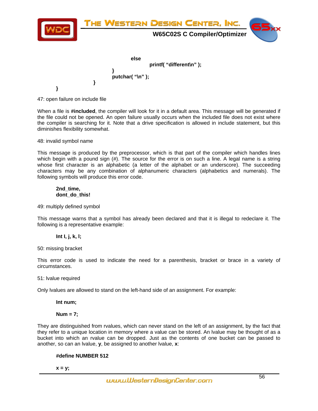

47: open failure on include file

When a file is **#included**, the compiler will look for it in a default area. This message will be generated if the file could not be opened. An open failure usually occurs when the included file does not exist where the compiler is searching for it. Note that a drive specification is allowed in include statement, but this diminishes flexibility somewhat.

48: invalid symbol name

This message is produced by the preprocessor, which is that part of the compiler which handles lines which begin with a pound sign (#). The source for the error is on such a line. A legal name is a string whose first character is an alphabetic (a letter of the alphabet or an underscore). The succeeding characters may be any combination of alphanumeric characters (alphabetics and numerals). The following symbols will produce this error code.

#### **2nd\_time, dont\_do\_this!**

49: multiply defined symbol

This message warns that a symbol has already been declared and that it is illegal to redeclare it. The following is a representative example:

#### **Int I, j, k, l;**

50: missing bracket

This error code is used to indicate the need for a parenthesis, bracket or brace in a variety of circumstances.

51: lvalue required

Only lvalues are allowed to stand on the left-hand side of an assignment. For example:

 **Int num;** 

#### **Num = 7;**

They are distinguished from rvalues, which can never stand on the left of an assignment, by the fact that they refer to a unique location in memory where a value can be stored. An lvalue may be thought of as a bucket into which an rvalue can be dropped. Just as the contents of one bucket can be passed to another, so can an lvalue, **y**, be assigned to another lvalue, **x**:

#### **#define NUMBER 512**

 **x = y;**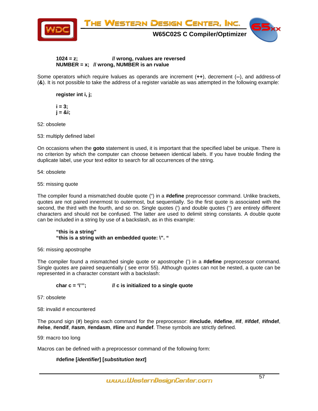

#### **1024 = z; // wrong, rvalues are reversed NUMBER = x; // wrong, NUMBER is an rvalue**

Some operators which require lvalues as operands are increment (**++**), decrement (**--**), and address-of (**&**). It is not possible to take the address of a register variable as was attempted in the following example:

 **register int i, j;** 

 $i = 3$ :  **j = &i;** 

52: obsolete

53: multiply defined label

On occasions when the **goto** statement is used, it is important that the specified label be unique. There is no criterion by which the computer can choose between identical labels. If you have trouble finding the duplicate label, use your text editor to search for all occurrences of the string.

54: obsolete

55: missing quote

The compiler found a mismatched double quote (") in a **#define** preprocessor command. Unlike brackets, quotes are not paired innermost to outermost, but sequentially. So the first quote is associated with the second, the third with the fourth, and so on. Single quotes (') and double quotes (") are entirely different characters and should not be confused. The latter are used to delimit string constants. A double quote can be included in a string by use of a backslash, as in this example:

 **"this is a string" "this is a string with an embedded quote: \". "** 

56: missing apostrophe

The compiler found a mismatched single quote or apostrophe (') in a **#define** preprocessor command. Single quotes are paired sequentially ( see error 55). Although quotes can not be nested, a quote can be represented in a character constant with a backslash:

#### **char c = '\'''; // c is initialized to a single quote**

57: obsolete

58: invalid # encountered

The pound sign (**#**) begins each command for the preprocessor: **#include**, **#define**, **#if**, **#ifdef**, **#ifndef**, **#else**, **#endif**, **#asm**, **#endasm**, **#line** and **#undef**. These symbols are strictly defined.

59: macro too long

Macros can be defined with a preprocessor command of the following form:

### **#define [***identifier***] [***substitution text***]**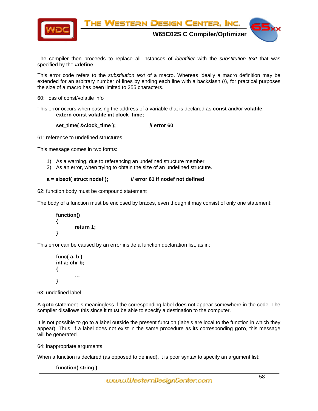

The compiler then proceeds to replace all instances of *identifier* with the *substitution text* that was specified by the **#define**.

This error code refers to the *substitution text* of a macro. Whereas ideally a macro definition may be extended for an arbitrary number of lines by ending each line with a backslash (\), for practical purposes the size of a macro has been limited to 255 characters.

60: loss of const/volatile info

This error occurs when passing the address of a variable that is declared as **const** and/or **volatile**.  **extern const volatile int clock\_time;** 

 **set\_time( &clock\_time ); // error 60** 

61: reference to undefined structures

This message comes in two forms:

- 1) As a warning, due to referencing an undefined structure member.
- 2) As an error, when trying to obtain the size of an undefined structure.

#### **a = sizeof( struct nodef ); // error 61 if nodef not defined**

62: function body must be compound statement

The body of a function must be enclosed by braces, even though it may consist of only one statement:

```
 function() 
 { 
            return 1; 
 }
```
This error can be caused by an error inside a function declaration list, as in:

```
 func( a, b ) 
       int a; chr b; 
        { 
 … 
       }
```
63: undefined label

A **goto** statement is meaningless if the corresponding label does not appear somewhere in the code. The compiler disallows this since it must be able to specify a destination to the computer.

It is not possible to go to a label outside the present function (labels are local to the function in which they appear). Thus, if a label does not exist in the same procedure as its corresponding **goto**, this message will be generated.

64: inappropriate arguments

When a function is declared (as opposed to defined), it is poor syntax to specify an argument list:

#### **function( string )**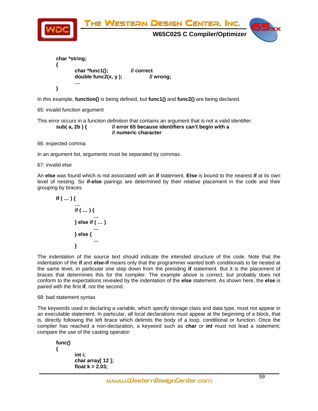

This error occurs in a function definition that contains an argument that is not a valid identifier.  **sub( a, 2b ) { // error 65 because identifiers can't begin with a // numeric character** 

66: expected comma

In an argument list, arguments must be separated by commas.

67: invalid else

An **else** was found which is not associated with an **if** statement. **Else** is bound to the nearest **if** at its own level of nesting. So **if-else** pairings are determined by their relative placement in the code and their grouping by braces.

$$
\mathsf{If} \left( \dots \right) \{ \\ \dots \\ \mathsf{if} \left( \dots \right) \{ \\ \dots \\ \} \mathsf{else} \mathsf{if} \left( \dots \right) \\ \dots \\ \} \\ \mathsf{else} \{ \\ \dots \}
$$

The indentation of the source text should indicate the intended structure of the code. Note that the indentation of the **if** and **else-if** means only that the programmer wanted both conditionals to be nested at the same level, in particular one step down from the presiding **if** statement. But it is the placement of braces that determines this for the compiler. The example above is correct, but probably does not conform to the expectations revealed by the indentation of the **else** statement. As shown here, the **else** is paired with the first **if**, not the second.

#### 68: bad statement syntax

The keywords used in declaring a variable, which specify storage class and data type, must not appear in an executable statement. In particular, all local declarations must appear at the beginning of a block, that is, directly following the left brace which delimits the body of a loop, conditional or function. Once the compiler has reached a non-declaration, a keyword such as **char** or **int** must not lead a statement; compare the use of the casting operator:

```
 func() 
 { 
           int i; 
          char array[ 12 ]; 
          float k = 2.03;
```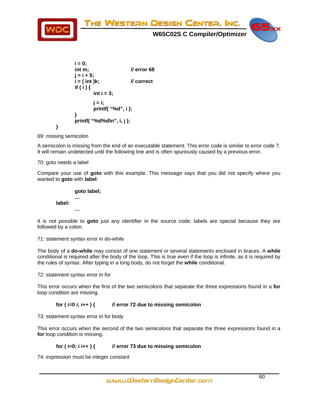

69: missing semicolon

A semicolon is missing from the end of an executable statement. This error code is similar to error code 7. It will remain undetected until the following line and is often spuriously caused by a previous error.

70: goto needs a label

Compare your use of **goto** with this example. This message says that you did not specify where you wanted to **goto** with **label**:

 **goto label; … label: …** 

It is not possible to **goto** just any identifier in the source code; labels are special because they are followed by a colon.

71: statement syntax error in do-while

The body of a **do-while** may consist of one statement or several statements enclosed in braces. A **while** conditional is required after the body of the loop. This is true even if the loop is infinite, as it is required by the rules of syntax. After typing in a long body, do not forget the **while** conditional.

72: statement syntax error in for

This error occurs when the first of the two semicolons that separate the three expressions found in a **for** loop condition are missing.

#### **for ( i=0 i; i++ ) { // error 72 due to missing semicolon**

73: statement syntax error in for body

This error occurs when the second of the two semicolons that separate the three expressions found in a **for** loop condition is missing.

#### **for ( i=0; i i++ ) { // error 73 due to missing semicolon**

74: expression must be integer constant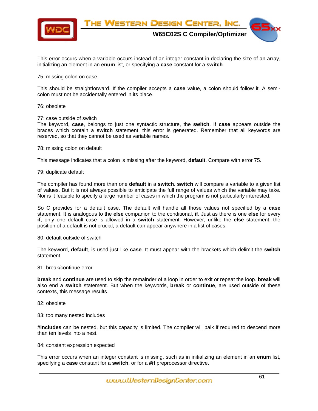

This error occurs when a variable occurs instead of an integer constant in declaring the size of an array, initializing an element in an **enum** list, or specifying a **case** constant for a **switch**.

#### 75: missing colon on case

This should be straightforward. If the compiler accepts a **case** value, a colon should follow it. A semicolon must not be accidentally entered in its place.

#### 76: obsolete

77: case outside of switch

The keyword, **case**, belongs to just one syntactic structure, the **switch**. If **case** appears outside the braces which contain a **switch** statement, this error is generated. Remember that all keywords are reserved, so that they cannot be used as variable names.

#### 78: missing colon on default

This message indicates that a colon is missing after the keyword, **default**. Compare with error 75.

#### 79: duplicate default

The compiler has found more than one **default** in a **switch**. **switch** will compare a variable to a given list of values. But it is not always possible to anticipate the full range of values which the variable may take. Nor is it feasible to specify a large number of cases in which the program is not particularly interested.

So C provides for a default case. The default will handle all those values not specified by a **case** statement. It is analogous to the **else** companion to the conditional, **if**. Just as there is one **else** for every **if**, only one default case is allowed in a **switch** statement. However, unlike the **else** statement, the position of a default is not crucial; a default can appear anywhere in a list of cases.

#### 80: default outside of switch

The keyword, **default**, is used just like **case**. It must appear with the brackets which delimit the **switch** statement.

#### 81: break/continue error

**break** and **continue** are used to skip the remainder of a loop in order to exit or repeat the loop. **break** will also end a **switch** statement. But when the keywords, **break** or **continue**, are used outside of these contexts, this message results.

#### 82: obsolete

83: too many nested includes

**#includes** can be nested, but this capacity is limited. The compiler will balk if required to descend more than ten levels into a nest.

#### 84: constant expression expected

This error occurs when an integer constant is missing, such as in initializing an element in an **enum** list, specifying a **case** constant for a **switch**, or for a **#if** preprocessor directive.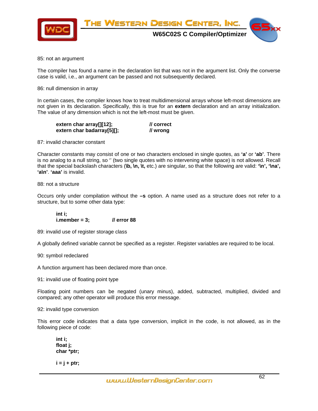

85: not an argument

The compiler has found a name in the declaration list that was not in the argument list. Only the converse case is valid, i.e., an argument can be passed and not subsequently declared.

86: null dimension in array

In certain cases, the compiler knows how to treat multidimensional arrays whose left-most dimensions are not given in its declaration. Specifically, this is true for an **extern** declaration and an array initialization. The value of any dimension which is not the left-most must be given.

| extern char array[][12];   | // correct |
|----------------------------|------------|
| extern char badarray[5][]; | // wrong   |

87: invalid character constant

Character constants may consist of one or two characters enclosed in single quotes, as **'a'** or **'ab'**. There is no analog to a null string, so '' (two single quotes with no intervening white space) is not allowed. Recall that the special backslash characters (**\b, \n, \t,** etc.) are singular, so that the following are valid: **'\n', '\na', 'a\n'**. **'aaa'** is invalid.

88: not a structure

Occurs only under compilation without the **–s** option. A name used as a structure does not refer to a structure, but to some other data type:

 **int i; i.member = 3; // error 88** 

89: invalid use of register storage class

A globally defined variable cannot be specified as a register. Register variables are required to be local.

90: symbol redeclared

A function argument has been declared more than once.

91: invalid use of floating point type

Floating point numbers can be negated (unary minus), added, subtracted, multiplied, divided and compared; any other operator will produce this error message.

92: invalid type conversion

This error code indicates that a data type conversion, implicit in the code, is not allowed, as in the following piece of code:

 **int i; float j; char \*ptr;** 

 **i = j + ptr;**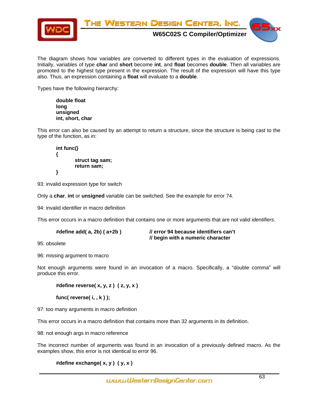

The diagram shows how variables are converted to different types in the evaluation of expressions. Initially, variables of type **char** and **short** become **int**, and **float** becomes **double**. Then all variables are promoted to the highest type present in the expression. The result of the expression will have this type also. Thus, an expression containing a **float** will evaluate to a **double**.

Types have the following hierarchy:

 **double float long unsigned int, short, char** 

This error can also be caused by an attempt to return a structure, since the structure is being cast to the type of the function, as in:

 **int func() { struct tag sam; return sam; }** 

93: invalid expression type for switch

Only a **char**, **int** or **unsigned** variable can be switched. See the example for error 74.

94: invalid identifier in macro definition

This error occurs in a macro definition that contains one or more arguments that are not valid *identifiers*.

| #define $add(a, 2b)$ ( $a+2b$ ) | // error 94 because identifiers can't |
|---------------------------------|---------------------------------------|
|                                 | // begin with a numeric character     |

95: obsolete

96: missing argument to macro

Not enough arguments were found in an invocation of a macro. Specifically, a "double comma" will produce this error.

 **#define reverse( x, y, z ) ( z, y, x )** 

 **func( reverse( i, , k ) );** 

97: too many arguments in macro definition

This error occurs in a macro definition that contains more than 32 arguments in its definition.

98: not enough args in macro reference

The incorrect number of arguments was found in an invocation of a previously defined macro. As the examples show, this error is not identical to error 96.

```
 #define exchange( x, y ) ( y, x )
```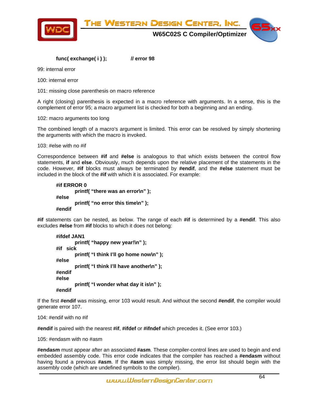

#### **func( exchange( i ) ); // error 98**

99: internal error

100: internal error

101: missing close parenthesis on macro reference

A right (closing) parenthesis is expected in a macro reference with arguments. In a sense, this is the complement of error 95; a macro argument list is checked for both a beginning and an ending.

#### 102: macro arguments too long

The combined length of a macro's argument is limited. This error can be resolved by simply shortening the arguments with which the macro is invoked.

103: #else with no #if

Correspondence between **#if** and **#else** is analogous to that which exists between the control flow statements, **if** and **else**. Obviously, much depends upon the relative placement of the statements in the code. However, **#if** blocks must always be terminated by **#endif**, and the **#else** statement must be included in the block of the **#if** with which it is associated. For example:

```
 #if ERROR 0 
         printf( "there was an error\n" ); 
 #else 
         printf( "no error this time\n" ); 
 #endif
```
**#if** statements can be nested, as below. The range of each **#if** is determined by a **#endif**. This also excludes **#else** from **#if** blocks to which it does not belong:

```
 #ifdef JAN1 
         printf( "happy new year!\n" ); 
 #if sick 
         printf( "I think I'll go home now\n" ); 
 #else 
         printf( "I think I'll have another\n" ); 
 #endif 
 #else 
         printf( "I wonder what day it is\n" ); 
 #endif
```
If the first **#endif** was missing, error 103 would result. And without the second **#endif**, the compiler would generate error 107.

104: #endif with no #if

**#endif** is paired with the nearest **#if**, **#ifdef** or **#ifndef** which precedes it. (See error 103.)

105: #endasm with no #asm

**#endasm** must appear after an associated **#asm**. These compiler-control lines are used to begin and end embedded assembly code. This error code indicates that the compiler has reached a **#endasm** without having found a previous **#asm**. If the **#asm** was simply missing, the error list should begin with the assembly code (which are undefined symbols to the compiler).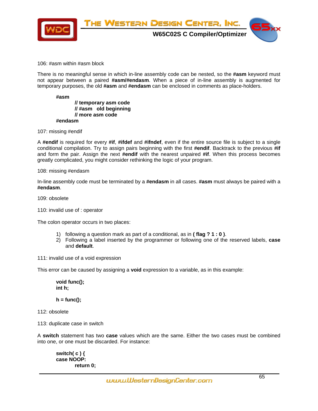

#### 106: #asm within #asm block

There is no meaningful sense in which in-line assembly code can be nested, so the **#asm** keyword must not appear between a paired **#asm/#endasm**. When a piece of in-line assembly is augmented for temporary purposes, the old **#asm** and **#endasm** can be enclosed in comments as place-holders.

 **#asm // temporary asm code // #asm old beginning // more asm code #endasm** 

107: missing #endif

A **#endif** is required for every **#if**, **#ifdef** and **#ifndef**, even if the entire source file is subject to a single conditional compilation. Try to assign pairs beginning with the first **#endif**. Backtrack to the previous **#if** and form the pair. Assign the next **#endif** with the nearest unpaired **#if**. When this process becomes greatly complicated, you might consider rethinking the logic of your program.

108: missing #endasm

In-line assembly code must be terminated by a **#endasm** in all cases. **#asm** must always be paired with a **#endasm**.

109: obsolete

110: invalid use of : operator

The colon operator occurs in two places:

- 1) following a question mark as part of a conditional, as in **( flag ? 1 : 0 )**.
- 2) Following a label inserted by the programmer or following one of the reserved labels, **case** and **default**.

111: invalid use of a void expression

This error can be caused by assigning a **void** expression to a variable, as in this example:

 **void func(); int h;** 

 **h = func();** 

112: obsolete

113: duplicate case in switch

A **switch** statement has two **case** values which are the same. Either the two cases must be combined into one, or one must be discarded. For instance:

 **switch( c ) { case NOOP: return 0;**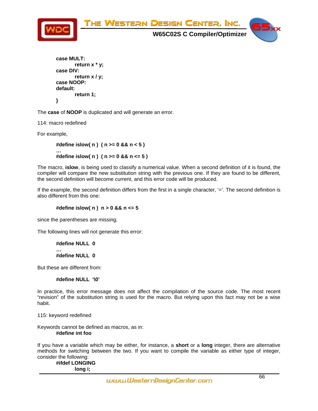

```
 case MULT: 
          return x * y; 
 case DIV: 
          return x / y; 
 case NOOP: 
 default: 
          return 1; 
 }
```
The **case** of **NOOP** is duplicated and will generate an error.

114: macro redefined

For example,

 **#define islow( n ) ( n >= 0 && n < 5 ) … #define islow( n ) ( n >= 0 && n <= 5 )** 

The macro, **islow**, is being used to classify a numerical value. When a second definition of it is found, the compiler will compare the new substitution string with the previous one. If they are found to be different, the second definition will become current, and this error code will be produced.

If the example, the second definition differs from the first in a single character, '='. The second definition is also different from this one:

#### **#define islow( n ) n > 0 && n <= 5**

since the parentheses are missing.

The following lines will not generate this error:

 **#define NULL 0 … #define NULL 0** 

But these are different from:

#### **#define NULL '\0'**

In practice, this error message does not affect the compilation of the source code. The most recent "revision" of the substitution string is used for the macro. But relying upon this fact may not be a wise habit.

115: keyword redefined

Keywords cannot be defined as macros, as in:  **#define int foo** 

If you have a variable which may be either, for instance, a **short** or a **long** integer, there are alternative methods for switching between the two. If you want to compile the variable as either type of integer, consider the following:

 **#ifdef LONGING long i;**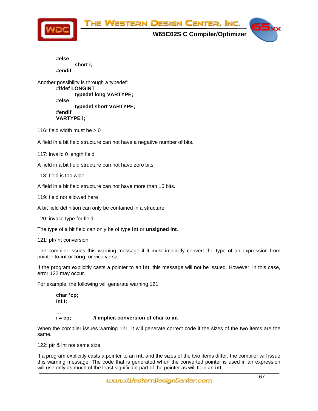

 **#else short i; #endif** 

Another possibility is through a typedef:  **#ifdef LONGINT typedef long VARTYPE; #else typedef short VARTYPE; #endif VARTYPE i;** 

116: field width must be  $> 0$ 

A field in a bit field structure can not have a negative number of bits.

117: invalid 0 length field

A field in a bit field structure can not have zero bits.

118: field is too wide

A field in a bit field structure can not have more than 16 bits.

119: field not allowed here

A bit field definition can only be contained in a structure.

120: invalid type for field

The type of a bit field can only be of type **int** or **unsigned int**.

#### 121: ptr/int conversion

The compiler issues this warning message if it must implicitly convert the type of an expression from pointer to **int** or **long**, or vice versa.

If the program explicitly casts a pointer to an **int**, this message will not be issued. However, in this case, error 122 may occur.

For example, the following will generate warning 121:

 **char \*cp; int i;** 

 **…** 

#### **i = cp; // implicit conversion of char to int**

When the compiler issues warning 121, it will generate correct code if the sizes of the two items are the same.

122: ptr & int not same size

If a program explicitly casts a pointer to an **int**, and the sizes of the two items differ, the compiler will issue this warning message. The code that is generated when the converted pointer is used in an expression will use only as much of the least significant part of the pointer as will fit in an **int**.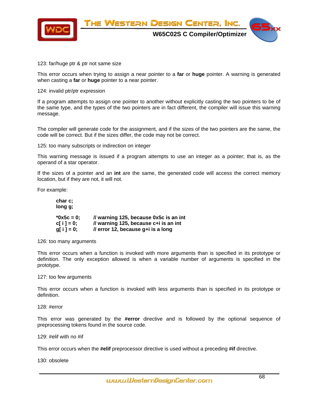

123: far/huge ptr & ptr not same size

This error occurs when trying to assign a near pointer to a **far** or **huge** pointer. A warning is generated when casting a **far** or **huge** pointer to a near pointer.

124: invalid ptr/ptr expression

If a program attempts to assign one pointer to another without explicitly casting the two pointers to be of the same type, and the types of the two pointers are in fact different, the compiler will issue this warning message.

The compiler will generate code for the assignment, and if the sizes of the two pointers are the same, the code will be correct. But if the sizes differ, the code may not be correct.

125: too many subscripts or indirection on integer

This warning message is issued if a program attempts to use an integer as a pointer; that is, as the operand of a star operator.

If the sizes of a pointer and an **int** are the same, the generated code will access the correct memory location, but if they are not, it will not.

For example:

| char c;<br>long g;         |                                                                             |
|----------------------------|-----------------------------------------------------------------------------|
| $*0x5c = 0$ :              | // warning 125, because 0x5c is an int                                      |
| $c[i] = 0;$<br>$q[i] = 0;$ | // warning 125, because c+i is an int<br>// error 12, because g+i is a long |
|                            |                                                                             |

126: too many arguments

This error occurs when a function is invoked with more arguments than is specified in its prototype or definition. The only exception allowed is when a variable number of arguments is specified in the prototype.

#### 127: too few arguments

This error occurs when a function is invoked with less arguments than is specified in its prototype or definition.

128: #error

This error was generated by the **#error** directive and is followed by the optional sequence of preprocessing tokens found in the source code.

129: #elif with no #if

This error occurs when the **#elif** preprocessor directive is used without a preceding **#if** directive.

130: obsolete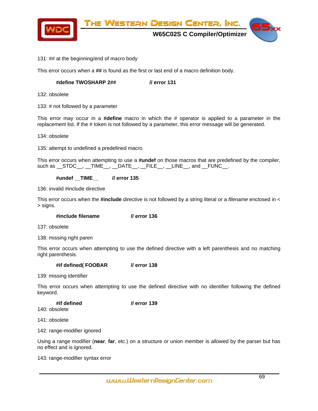

#### 131: ## at the beginning/end of macro body

This error occurs when a **##** is found as the first or last end of a macro definition body.

### **#define TWOSHARP 2## // error 131**

132: obsolete

133: # not followed by a parameter

This error may occur in a **#define** macro in which the # operator is applied to a parameter in the replacement list. If the # token is not followed by a parameter, this error message will be generated.

134: obsolete

135: attempt to undefined a predefined macro

This error occurs when attempting to use a **#undef** on those macros that are predefined by the compiler, such as  $_S$  STDC  $_$ ,  $_$ TIME  $_$ ,  $_$ DATE  $_$ ,  $_$  FILE  $_$ ,  $_$  LINE  $_$ , and  $_$  FUNC  $_$ .

 **#undef \_\_TIME\_\_ // error 135** 

136: invalid #include directive

This error occurs when the **#include** directive is not followed by a string literal or a *filename* enclosed in < > signs.

 **#include filename // error 136** 

137: obsolete

138: missing right paren

This error occurs when attempting to use the defined directive with a left parenthesis and no matching right parenthesis.

 **#if defined( FOOBAR // error 138** 

139: missing identifier

This error occurs when attempting to use the defined directive with no identifier following the defined keyword.

 **#if defined // error 139**  140: obsolete

141: obsolete

142: range-modifier ignored

Using a range modifier (**near**, **far**, etc.) on a structure or union member is allowed by the parser but has no effect and is ignored.

143: range-modifier syntax error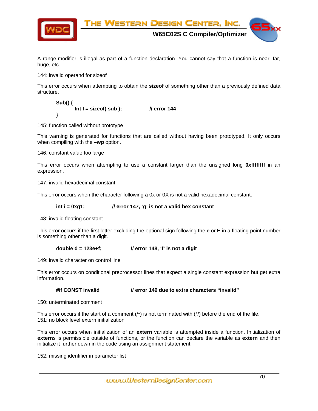

A range-modifier is illegal as part of a function declaration. You cannot say that a function is near, far, huge, etc.

144: invalid operand for sizeof

This error occurs when attempting to obtain the **sizeof** of something other than a previously defined data structure.

 **Sub() { Int I = sizeof( sub ); // error 144 }** 

145: function called without prototype

This warning is generated for functions that are called without having been prototyped. It only occurs when compiling with the **–wp** option.

146: constant value too large

This error occurs when attempting to use a constant larger than the unsigned long **0xffffffff** in an expression.

147: invalid hexadecimal constant

This error occurs when the character following a 0x or 0X is not a valid hexadecimal constant.

#### int i = 0xg1; *// error 147, 'g' is not a valid hex constant*

148: invalid floating constant

This error occurs if the first letter excluding the optional sign following the **e** or **E** in a floating point number is something other than a digit.

**double d = 123e+f; // error 148, 'f' is not a digit** 

149: invalid character on control line

This error occurs on conditional preprocessor lines that expect a single constant expression but get extra information.

 **#if CONST invalid // error 149 due to extra characters "invalid"** 

150: unterminated comment

This error occurs if the start of a comment  $('')$  is not terminated with  $('')$  before the end of the file. 151: no block level extern initialization

This error occurs when initialization of an **extern** variable is attempted inside a function. Initialization of **extern**s is permissible outside of functions, or the function can declare the variable as **extern** and then initialize it further down in the code using an assignment statement.

152: missing identifier in parameter list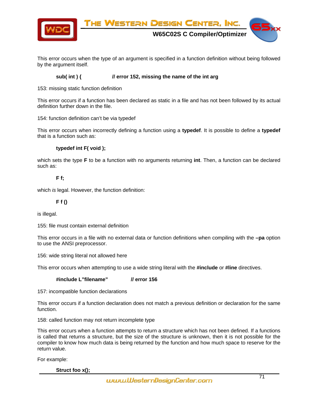

This error occurs when the type of an argument is specified in a function definition without being followed by the argument itself.

#### **sub( int ) { // error 152, missing the name of the int arg**

153: missing static function definition

This error occurs if a function has been declared as static in a file and has not been followed by its actual definition further down in the file.

154: function definition can't be via typedef

This error occurs when incorrectly defining a function using a **typedef**. It is possible to define a **typedef** that is a function such as:

#### **typedef int F( void );**

which sets the type **F** to be a function with no arguments returning **int**. Then, a function can be declared such as:

#### **F f;**

which *is* legal. However, the function definition:

#### **F f ()**

is illegal.

155: file must contain external definition

This error occurs in a file with no external data or function definitions when compiling with the **–pa** option to use the ANSI preprocessor.

156: wide string literal not allowed here

This error occurs when attempting to use a wide string literal with the **#include** or **#line** directives.

 **#include L"filename" // error 156** 

157: incompatible function declarations

This error occurs if a function declaration does not match a previous definition or declaration for the same function.

158: called function may not return incomplete type

This error occurs when a function attempts to return a structure which has not been defined. If a functions is called that returns a structure, but the size of the structure is unknown, then it is not possible for the compiler to know how much data is being returned by the function and how much space to reserve for the return value.

For example:

 **Struct foo x();**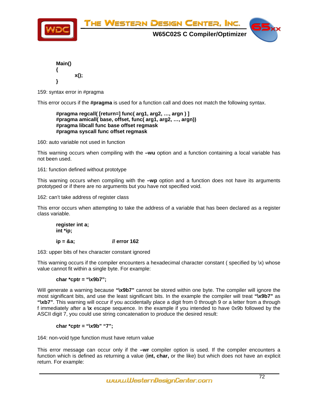

| Main() |         |
|--------|---------|
|        |         |
|        | $x()$ ; |
|        |         |

159: syntax error in #pragma

This error occurs if the **#pragma** is used for a function call and does not match the following syntax.

 **#pragma regcall( [return=] func( arg1, arg2, …, argn ) ] #pragma amicall( base, offset, func( arg1, arg2, …, argn)) #pragma libcall func base offset regmask #pragma syscall func offset regmask** 

160: auto variable not used in function

This warning occurs when compiling with the **–wu** option and a function containing a local variable has not been used.

161: function defined without prototype

This warning occurs when compiling with the **–wp** option and a function does not have its arguments prototyped or if there are no arguments but you have not specified void.

162: can't take address of register class

This error occurs when attempting to take the address of a variable that has been declared as a register class variable.

 **register int a; int \*ip;** 

 **ip = &a; // error 162** 

163: upper bits of hex character constant ignored

This warning occurs if the compiler encounters a hexadecimal character constant (specified by \x) whose value cannot fit within a single byte. For example:

#### **char \*cptr = "\x9b7";**

Will generate a warning because "\x9b7" cannot be stored within one byte. The compiler will ignore the most significant bits, and use the least significant bits. In the example the compiler will treat **"\x9b7"** as **"\xb7"**. This warning will occur if you accidentally place a digit from 0 through 9 or a letter from a through f immediately after a **\x** escape sequence. In the example if you intended to have 0x9b followed by the ASCII digit 7, you could use string concatenation to produce the desired result:

#### **char \*cptr = "\x9b" "7";**

164: non-void type function must have return value

This error message can occur only if the **–wr** compiler option is used. If the compiler encounters a function which is defined as returning a value (**int, char,** or the like) but which does not have an explicit return. For example: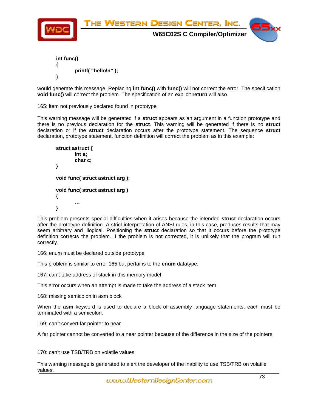

```
 int func() 
{ 
           printf( "hello\n" ); 
}
```
would generate this message. Replacing **int func()** with **func()** will not correct the error. The specification **void func()** will correct the problem. The specification of an explicit **return** will also.

165: item not previously declared found in prototype

This warning message will be generated if a **struct** appears as an argument in a function prototype and there is no previous declaration for the **struct**. This warning will be generated if there is no **struct** declaration or if the **struct** declaration occurs after the prototype statement. The sequence **struct** declaration, prototype statement, function definition will correct the problem as in this example:

```
 struct astruct { 
                int a; 
                char c; 
       } 
       void func( struct astruct arg ); 
       void func( struct astruct arg ) 
       { 
… 
       }
```
This problem presents special difficulties when it arises because the intended **struct** declaration occurs after the prototype definition. A strict interpretation of ANSI rules, in this case, produces results that may seem arbitrary and illogical. Positioning the **struct** declaration so that it occurs before the prototype definition corrects the problem. If the problem is not corrected, it is unlikely that the program will run correctly.

166: enum must be declared outside prototype

This problem is similar to error 165 but pertains to the **enum** datatype.

167: can't take address of stack in this memory model

This error occurs when an attempt is made to take the address of a stack item.

168: missing semicolon in asm block

When the **asm** keyword is used to declare a block of assembly language statements, each must be terminated with a semicolon.

169: can't convert far pointer to near

A far pointer cannot be converted to a near pointer because of the difference in the size of the pointers.

170: can't use TSB/TRB on volatile values

This warning message is generated to alert the developer of the inability to use TSB/TRB on volatile values.